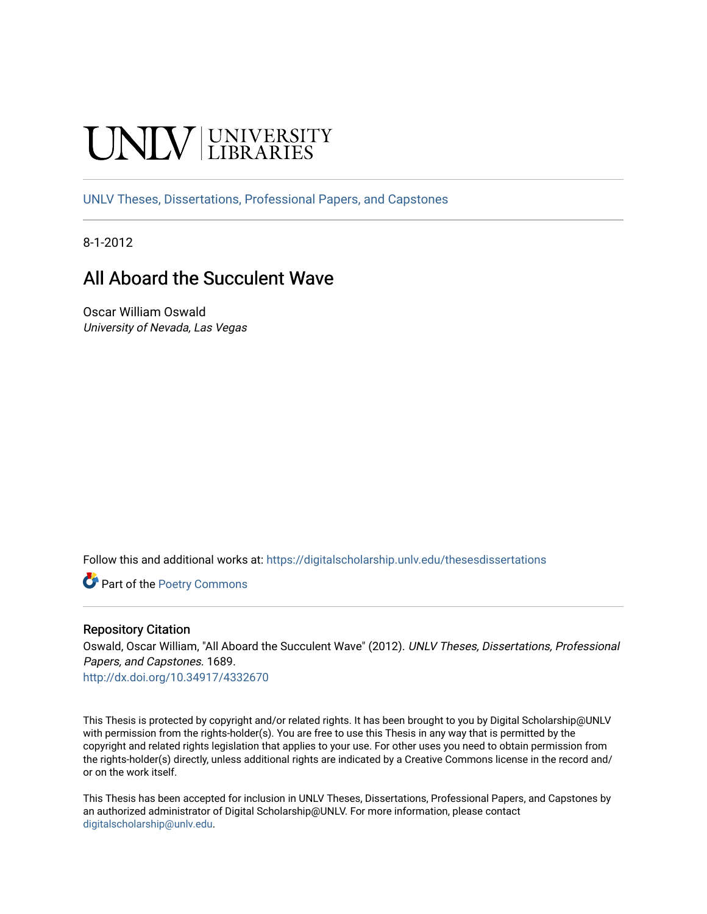### **INIVERSITY**

[UNLV Theses, Dissertations, Professional Papers, and Capstones](https://digitalscholarship.unlv.edu/thesesdissertations)

8-1-2012

#### All Aboard the Succulent Wave

Oscar William Oswald University of Nevada, Las Vegas

Follow this and additional works at: [https://digitalscholarship.unlv.edu/thesesdissertations](https://digitalscholarship.unlv.edu/thesesdissertations?utm_source=digitalscholarship.unlv.edu%2Fthesesdissertations%2F1689&utm_medium=PDF&utm_campaign=PDFCoverPages)

Part of the [Poetry Commons](http://network.bepress.com/hgg/discipline/1153?utm_source=digitalscholarship.unlv.edu%2Fthesesdissertations%2F1689&utm_medium=PDF&utm_campaign=PDFCoverPages) 

#### Repository Citation

Oswald, Oscar William, "All Aboard the Succulent Wave" (2012). UNLV Theses, Dissertations, Professional Papers, and Capstones. 1689.

<http://dx.doi.org/10.34917/4332670>

This Thesis is protected by copyright and/or related rights. It has been brought to you by Digital Scholarship@UNLV with permission from the rights-holder(s). You are free to use this Thesis in any way that is permitted by the copyright and related rights legislation that applies to your use. For other uses you need to obtain permission from the rights-holder(s) directly, unless additional rights are indicated by a Creative Commons license in the record and/ or on the work itself.

This Thesis has been accepted for inclusion in UNLV Theses, Dissertations, Professional Papers, and Capstones by an authorized administrator of Digital Scholarship@UNLV. For more information, please contact [digitalscholarship@unlv.edu](mailto:digitalscholarship@unlv.edu).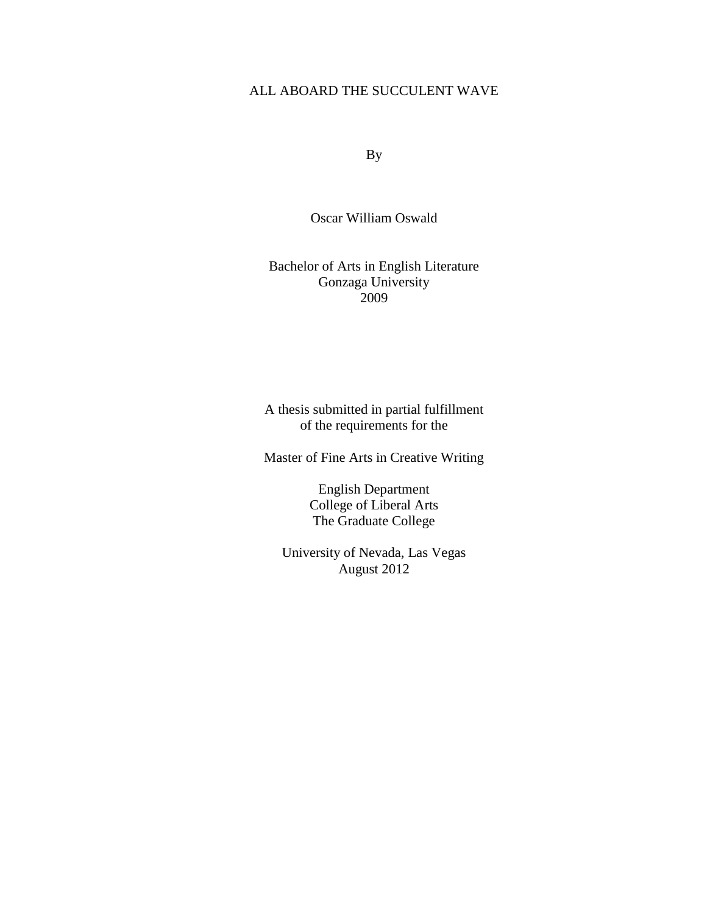#### ALL ABOARD THE SUCCULENT WAVE

By

Oscar William Oswald

#### Bachelor of Arts in English Literature Gonzaga University 2009

A thesis submitted in partial fulfillment of the requirements for the

Master of Fine Arts in Creative Writing

English Department College of Liberal Arts The Graduate College

University of Nevada, Las Vegas August 2012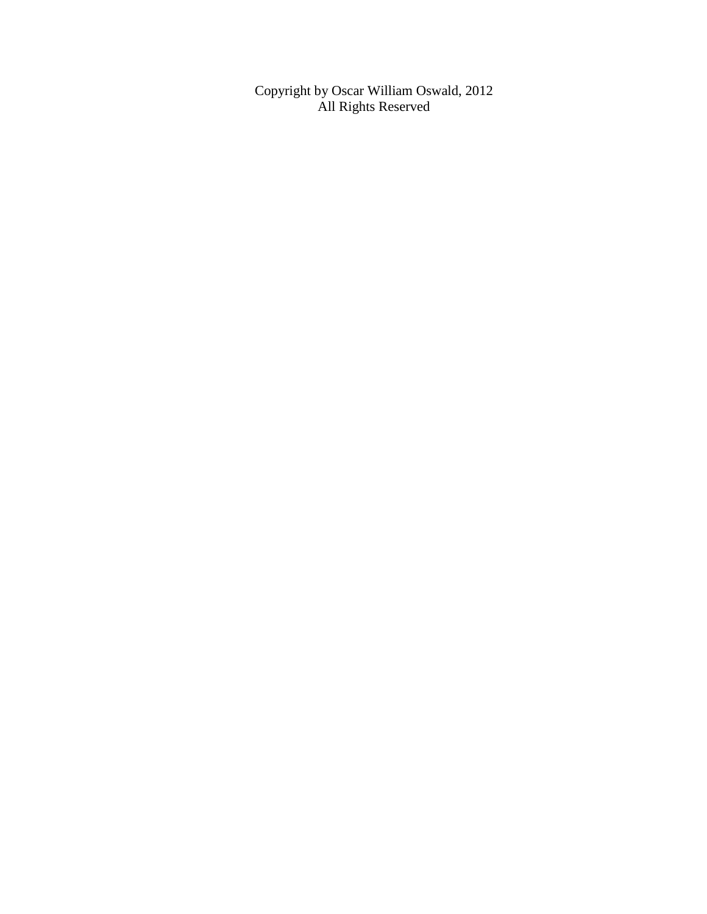Copyright by Oscar William Oswald, 2012 All Rights Reserved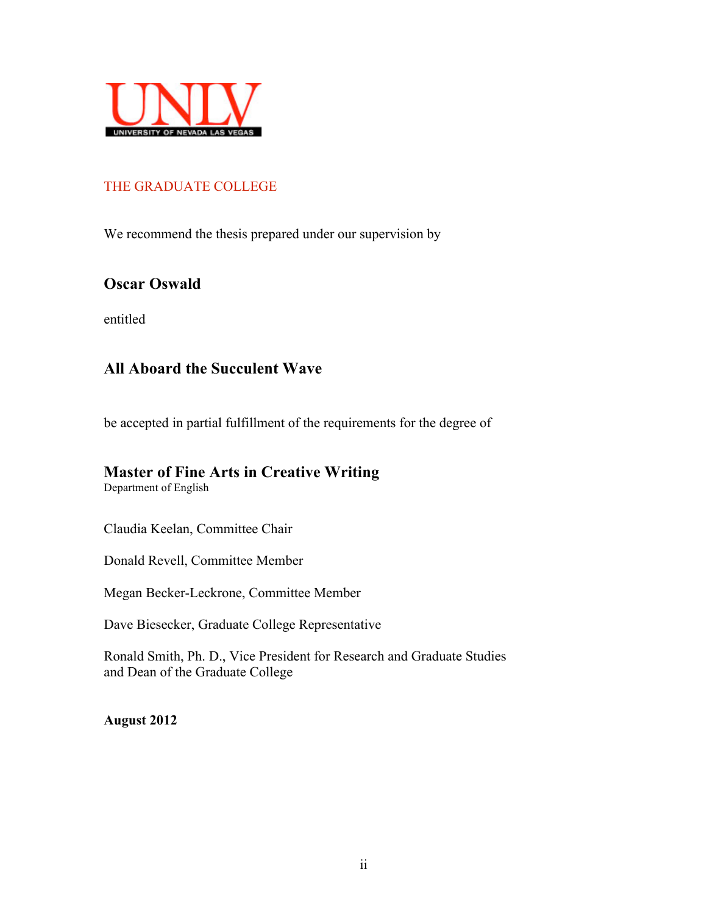

#### THE GRADUATE COLLEGE

We recommend the thesis prepared under our supervision by

#### **Oscar Oswald**

entitled

#### **All Aboard the Succulent Wave**

be accepted in partial fulfillment of the requirements for the degree of

#### **Master of Fine Arts in Creative Writing**

Department of English

Claudia Keelan, Committee Chair

Donald Revell, Committee Member

Megan Becker-Leckrone, Committee Member

Dave Biesecker, Graduate College Representative

Ronald Smith, Ph. D., Vice President for Research and Graduate Studies and Dean of the Graduate College

**August 2012**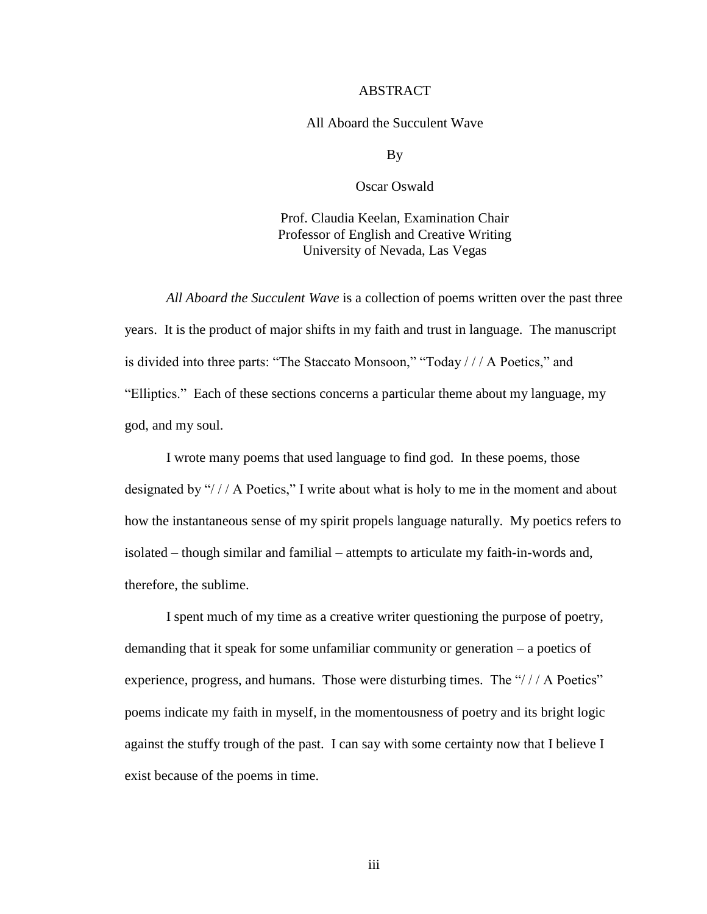#### ABSTRACT

#### All Aboard the Succulent Wave

By

Oscar Oswald

Prof. Claudia Keelan, Examination Chair Professor of English and Creative Writing University of Nevada, Las Vegas

*All Aboard the Succulent Wave* is a collection of poems written over the past three years. It is the product of major shifts in my faith and trust in language. The manuscript is divided into three parts: "The Staccato Monsoon," "Today / / / A Poetics," and "Elliptics." Each of these sections concerns a particular theme about my language, my god, and my soul.

I wrote many poems that used language to find god. In these poems, those designated by "/// A Poetics," I write about what is holy to me in the moment and about how the instantaneous sense of my spirit propels language naturally. My poetics refers to isolated – though similar and familial – attempts to articulate my faith-in-words and, therefore, the sublime.

I spent much of my time as a creative writer questioning the purpose of poetry, demanding that it speak for some unfamiliar community or generation – a poetics of experience, progress, and humans. Those were disturbing times. The "/// A Poetics" poems indicate my faith in myself, in the momentousness of poetry and its bright logic against the stuffy trough of the past. I can say with some certainty now that I believe I exist because of the poems in time.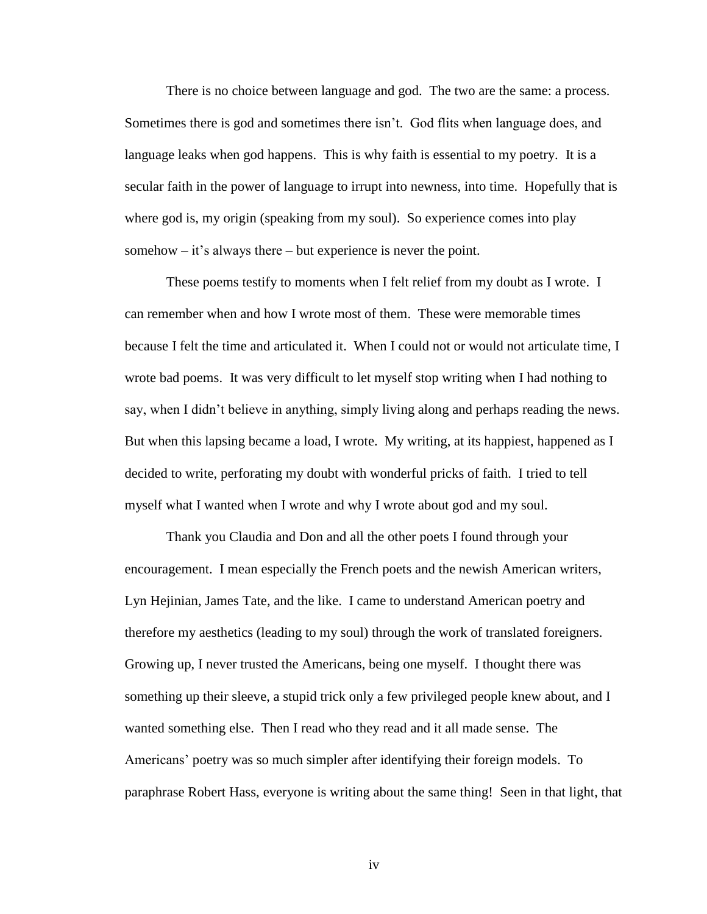There is no choice between language and god. The two are the same: a process. Sometimes there is god and sometimes there isn't. God flits when language does, and language leaks when god happens. This is why faith is essential to my poetry. It is a secular faith in the power of language to irrupt into newness, into time. Hopefully that is where god is, my origin (speaking from my soul). So experience comes into play somehow  $-$  it's always there  $-$  but experience is never the point.

These poems testify to moments when I felt relief from my doubt as I wrote. I can remember when and how I wrote most of them. These were memorable times because I felt the time and articulated it. When I could not or would not articulate time, I wrote bad poems. It was very difficult to let myself stop writing when I had nothing to say, when I didn't believe in anything, simply living along and perhaps reading the news. But when this lapsing became a load, I wrote. My writing, at its happiest, happened as I decided to write, perforating my doubt with wonderful pricks of faith. I tried to tell myself what I wanted when I wrote and why I wrote about god and my soul.

Thank you Claudia and Don and all the other poets I found through your encouragement. I mean especially the French poets and the newish American writers, Lyn Hejinian, James Tate, and the like. I came to understand American poetry and therefore my aesthetics (leading to my soul) through the work of translated foreigners. Growing up, I never trusted the Americans, being one myself. I thought there was something up their sleeve, a stupid trick only a few privileged people knew about, and I wanted something else. Then I read who they read and it all made sense. The Americans' poetry was so much simpler after identifying their foreign models. To paraphrase Robert Hass, everyone is writing about the same thing! Seen in that light, that

iv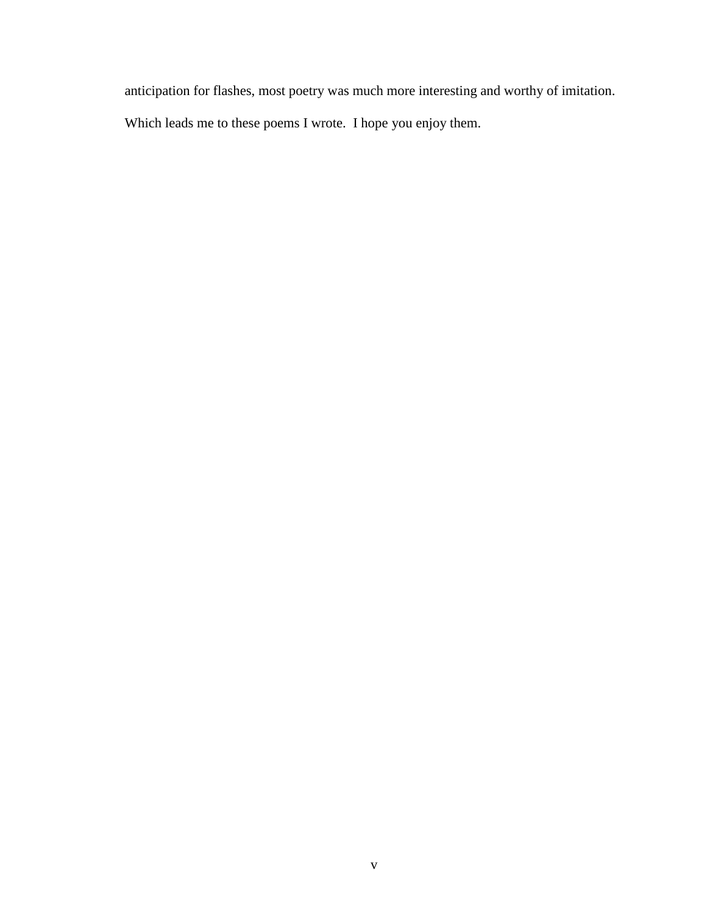anticipation for flashes, most poetry was much more interesting and worthy of imitation.

Which leads me to these poems I wrote. I hope you enjoy them.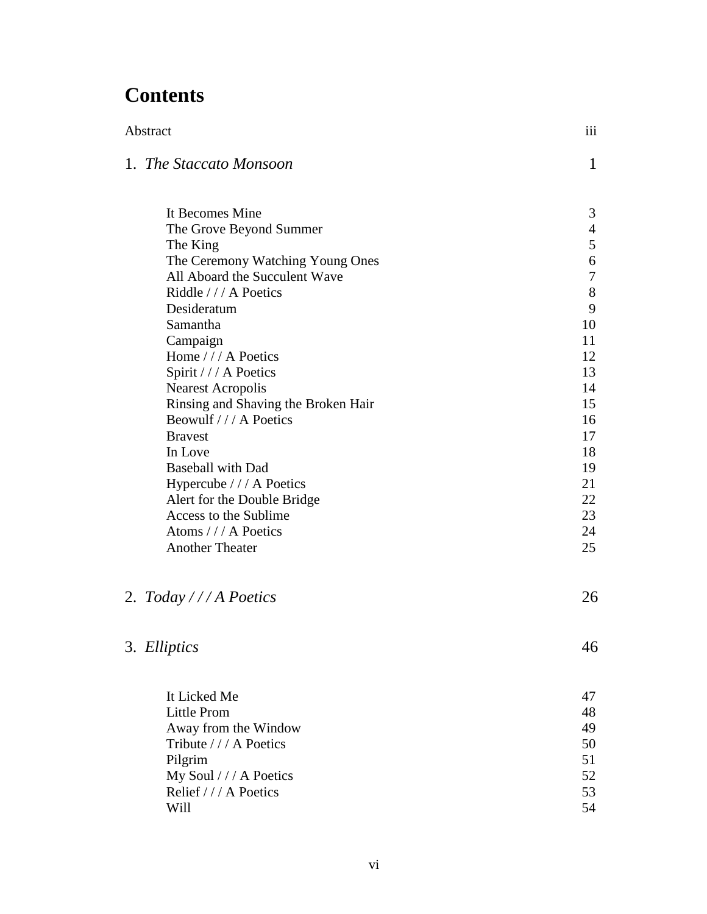#### **Contents**

| Abstract                                               | iii              |
|--------------------------------------------------------|------------------|
| 1. The Staccato Monsoon                                | 1                |
| It Becomes Mine                                        | 3                |
| The Grove Beyond Summer                                | $\overline{4}$   |
| The King                                               | 5                |
| The Ceremony Watching Young Ones                       | $\boldsymbol{6}$ |
| All Aboard the Succulent Wave                          | $\boldsymbol{7}$ |
| Riddle /// A Poetics                                   | 8                |
| Desideratum                                            | 9                |
| Samantha                                               | 10               |
| Campaign                                               | 11               |
| Home /// A Poetics                                     | 12               |
| Spirit /// A Poetics                                   | 13               |
| <b>Nearest Acropolis</b>                               | 14               |
| Rinsing and Shaving the Broken Hair                    | 15               |
| Beowulf /// A Poetics                                  | 16               |
| <b>Bravest</b>                                         | 17               |
| In Love                                                | 18               |
| <b>Baseball with Dad</b>                               | 19<br>21         |
| Hypercube /// A Poetics<br>Alert for the Double Bridge | 22               |
| Access to the Sublime                                  | 23               |
| Atoms /// A Poetics                                    | 24               |
| <b>Another Theater</b>                                 | 25               |
|                                                        |                  |
| 2. Today /// A Poetics                                 | 26               |
| 3. Elliptics                                           | 46               |
| It Licked Me                                           | 47               |
| <b>Little Prom</b>                                     | 48               |
| Away from the Window                                   | 49               |
| Tribute /// A Poetics                                  | 50               |
| Pilgrim                                                | 51               |
| My Soul /// A Poetics                                  | 52               |
| Relief /// A Poetics                                   | 53               |
| Will                                                   | 54               |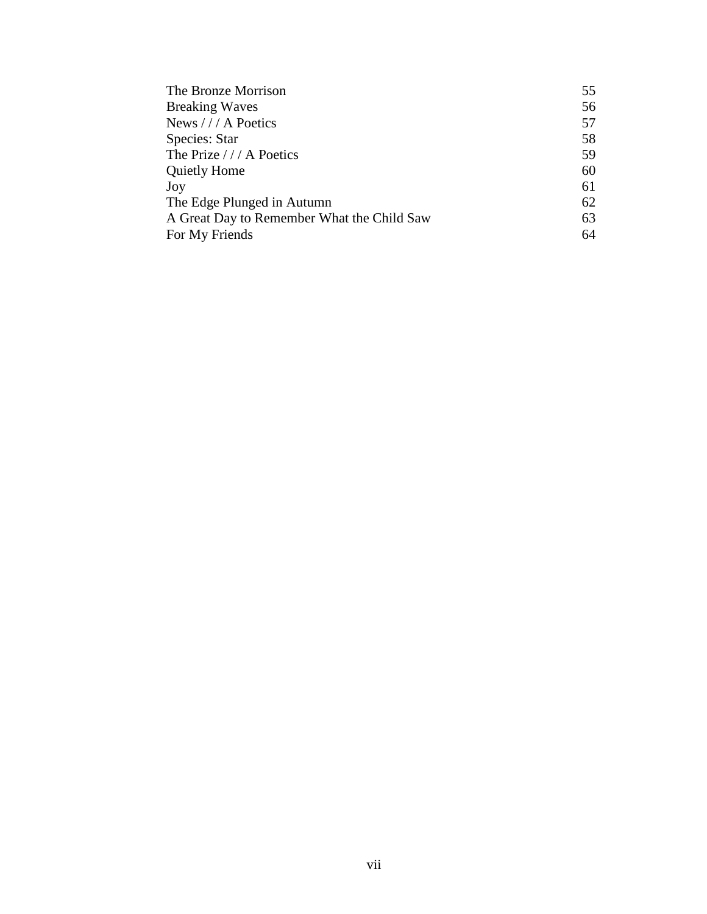| The Bronze Morrison                        | 55 |
|--------------------------------------------|----|
| <b>Breaking Waves</b>                      | 56 |
| News /// A Poetics                         | 57 |
| Species: Star                              | 58 |
| The Prize /// A Poetics                    | 59 |
| <b>Quietly Home</b>                        | 60 |
| Joy                                        | 61 |
| The Edge Plunged in Autumn                 | 62 |
| A Great Day to Remember What the Child Saw | 63 |
| For My Friends                             | 64 |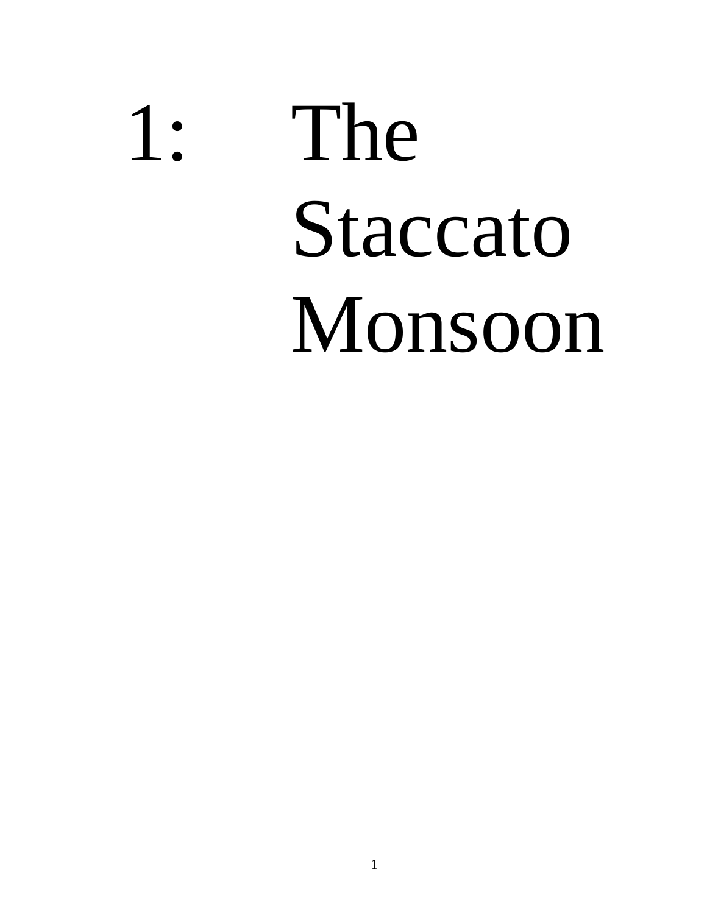# 1: The Staccato Monsoon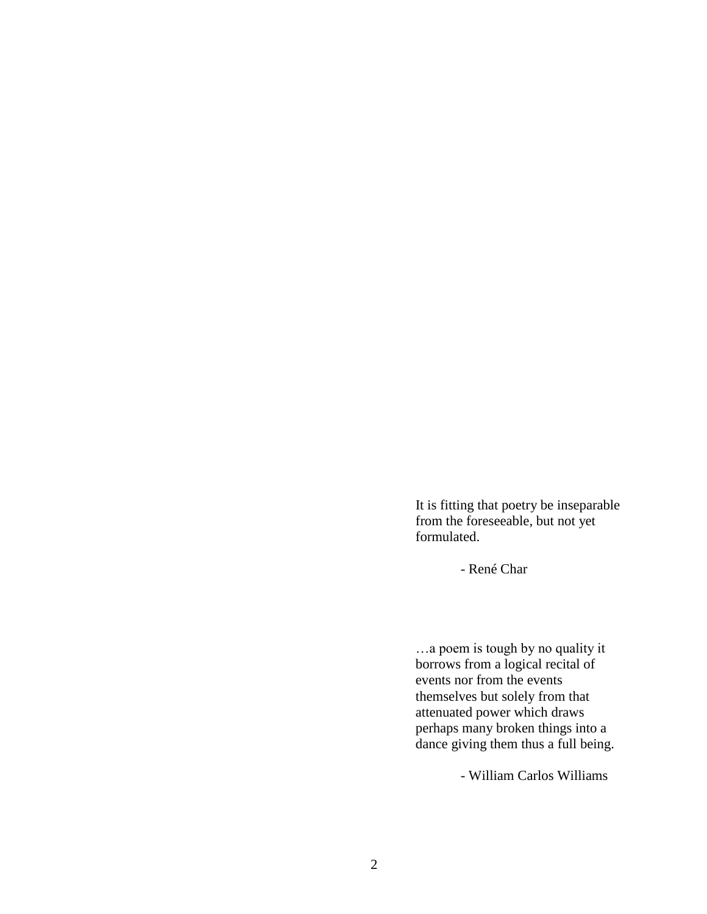It is fitting that poetry be inseparable from the foreseeable, but not yet formulated.

- René Char

…a poem is tough by no quality it borrows from a logical recital of events nor from the events themselves but solely from that attenuated power which draws perhaps many broken things into a dance giving them thus a full being.

- William Carlos Williams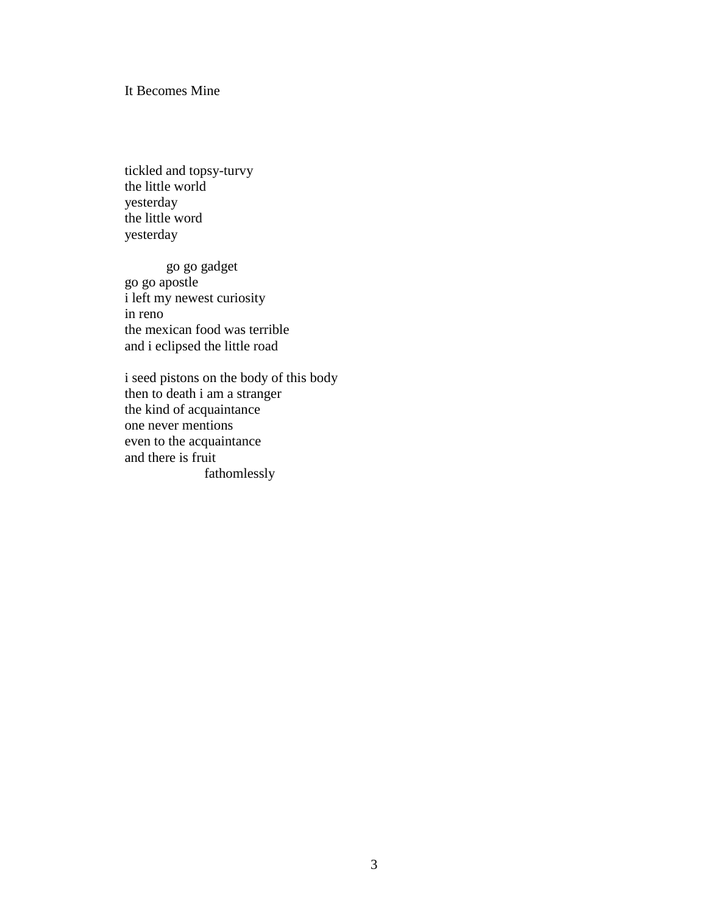#### It Becomes Mine

tickled and topsy-turvy the little world yesterday the little word yesterday

go go gadget go go apostle i left my newest curiosity in reno the mexican food was terrible and i eclipsed the little road

i seed pistons on the body of this body then to death i am a stranger the kind of acquaintance one never mentions even to the acquaintance and there is fruit fathomlessly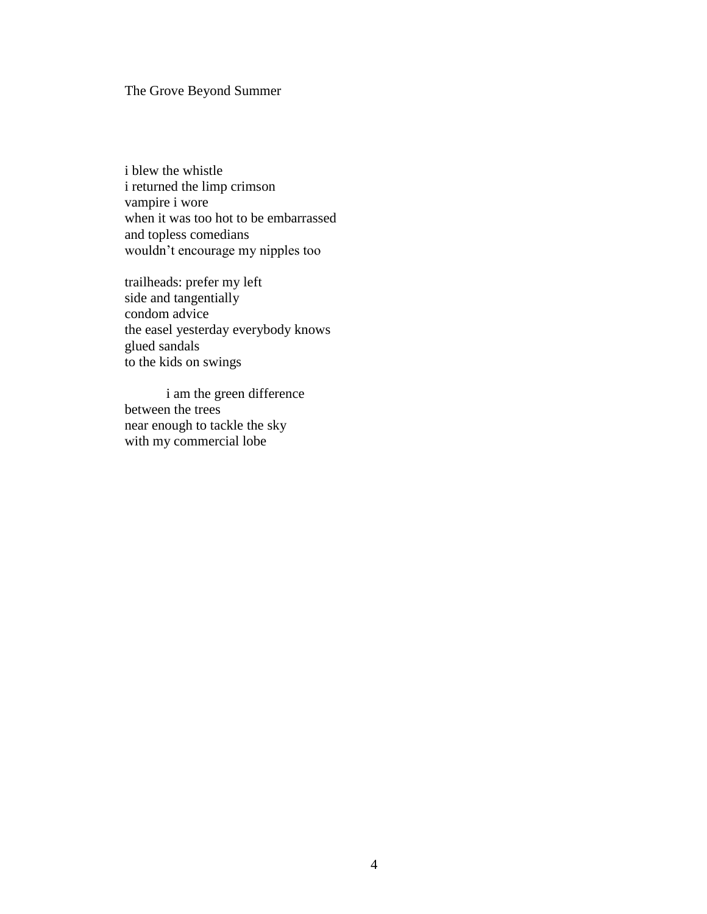#### The Grove Beyond Summer

i blew the whistle i returned the limp crimson vampire i wore when it was too hot to be embarrassed and topless comedians wouldn't encourage my nipples too

trailheads: prefer my left side and tangentially condom advice the easel yesterday everybody knows glued sandals to the kids on swings

i am the green difference between the trees near enough to tackle the sky with my commercial lobe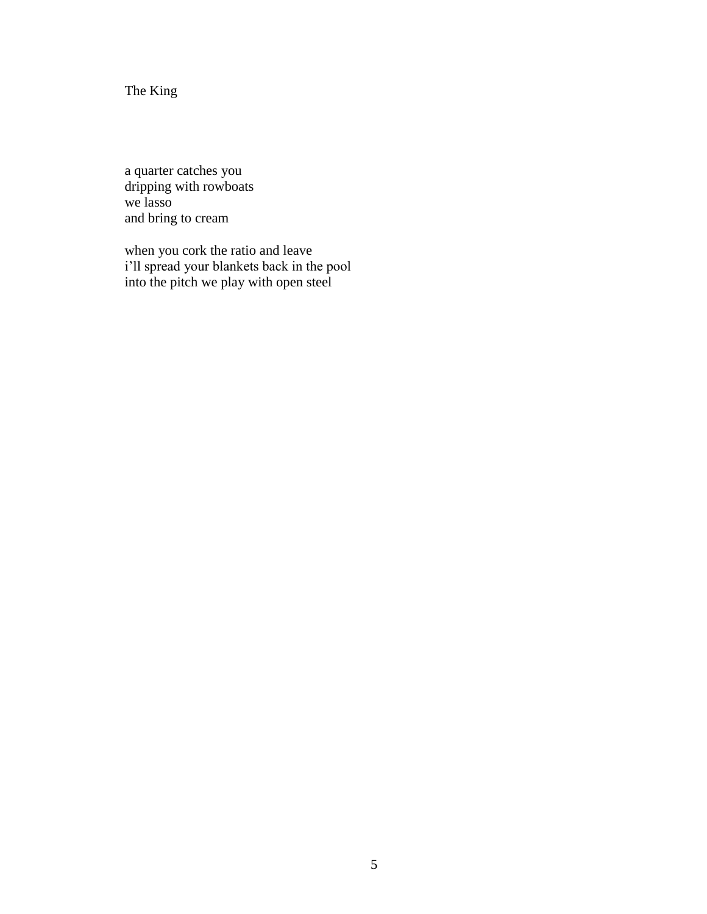The King

a quarter catches you dripping with rowboats we lasso and bring to cream

when you cork the ratio and leave i'll spread your blankets back in the pool into the pitch we play with open steel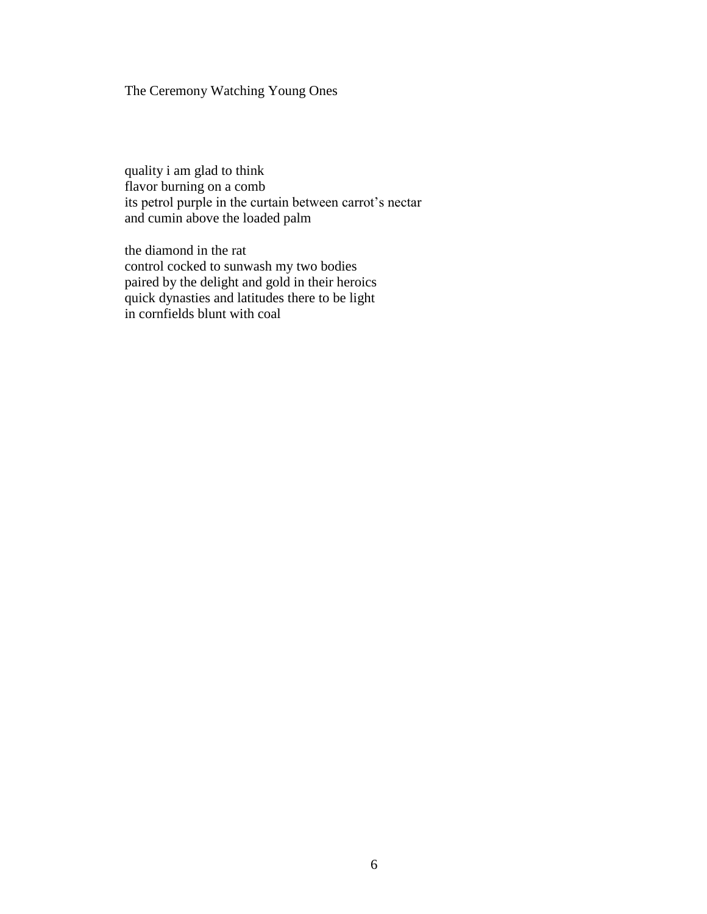#### The Ceremony Watching Young Ones

quality i am glad to think flavor burning on a comb its petrol purple in the curtain between carrot's nectar and cumin above the loaded palm

the diamond in the rat control cocked to sunwash my two bodies paired by the delight and gold in their heroics quick dynasties and latitudes there to be light in cornfields blunt with coal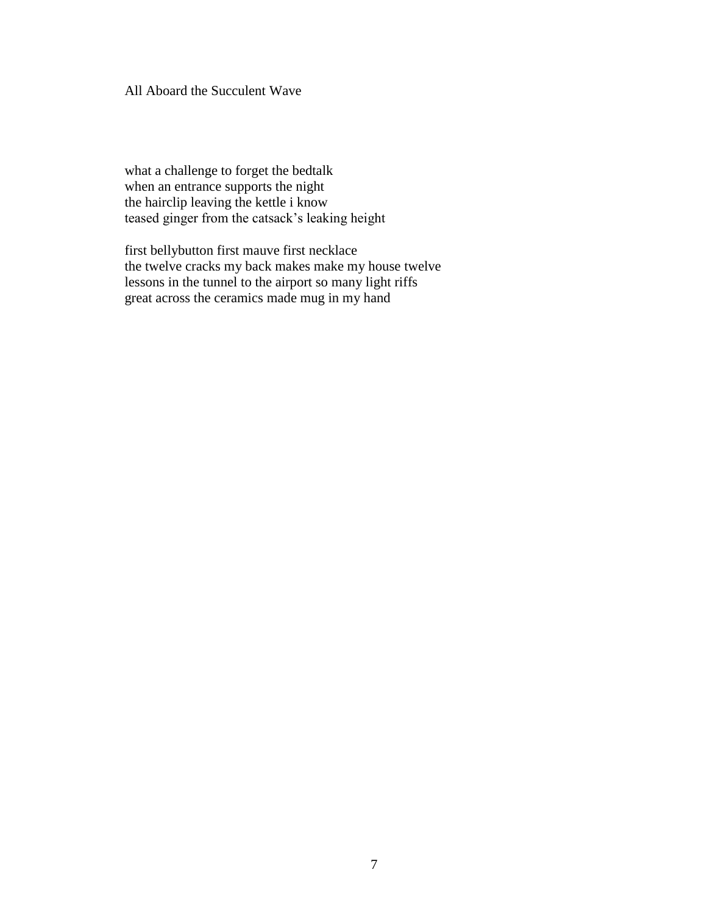All Aboard the Succulent Wave

what a challenge to forget the bedtalk when an entrance supports the night the hairclip leaving the kettle i know teased ginger from the catsack's leaking height

first bellybutton first mauve first necklace the twelve cracks my back makes make my house twelve lessons in the tunnel to the airport so many light riffs great across the ceramics made mug in my hand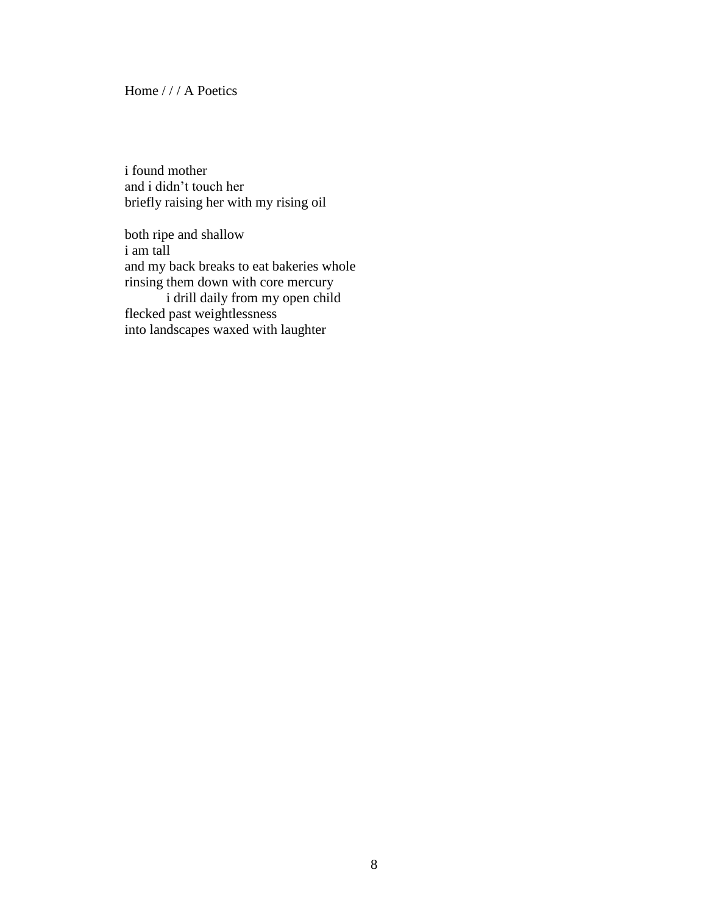Home / / / A Poetics

i found mother and i didn't touch her briefly raising her with my rising oil

both ripe and shallow i am tall and my back breaks to eat bakeries whole rinsing them down with core mercury i drill daily from my open child flecked past weightlessness into landscapes waxed with laughter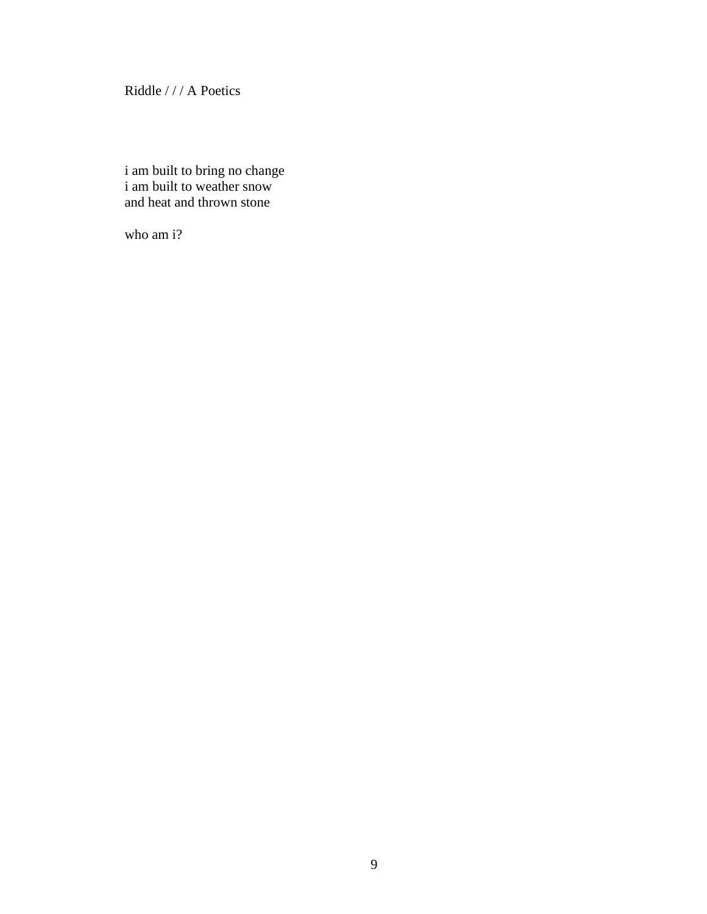Riddle / / / A Poetics

i am built to bring no change i am built to weather snow and heat and thrown stone

who am i?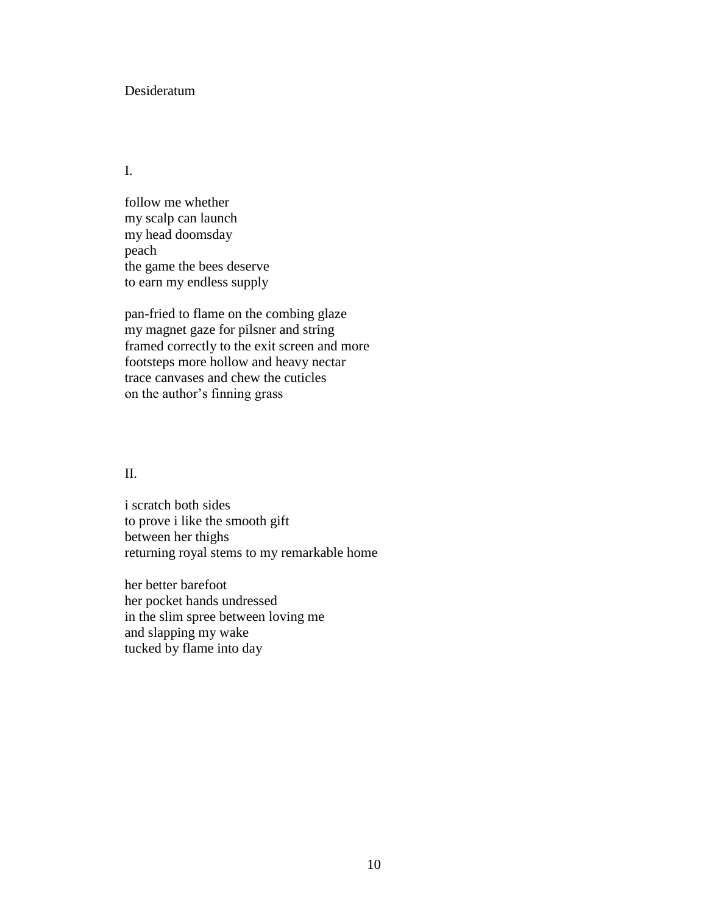#### Desideratum

#### I.

follow me whether my scalp can launch my head doomsday peach the game the bees deserve to earn my endless supply

pan-fried to flame on the combing glaze my magnet gaze for pilsner and string framed correctly to the exit screen and more footsteps more hollow and heavy nectar trace canvases and chew the cuticles on the author's finning grass

#### II.

i scratch both sides to prove i like the smooth gift between her thighs returning royal stems to my remarkable home

her better barefoot her pocket hands undressed in the slim spree between loving me and slapping my wake tucked by flame into day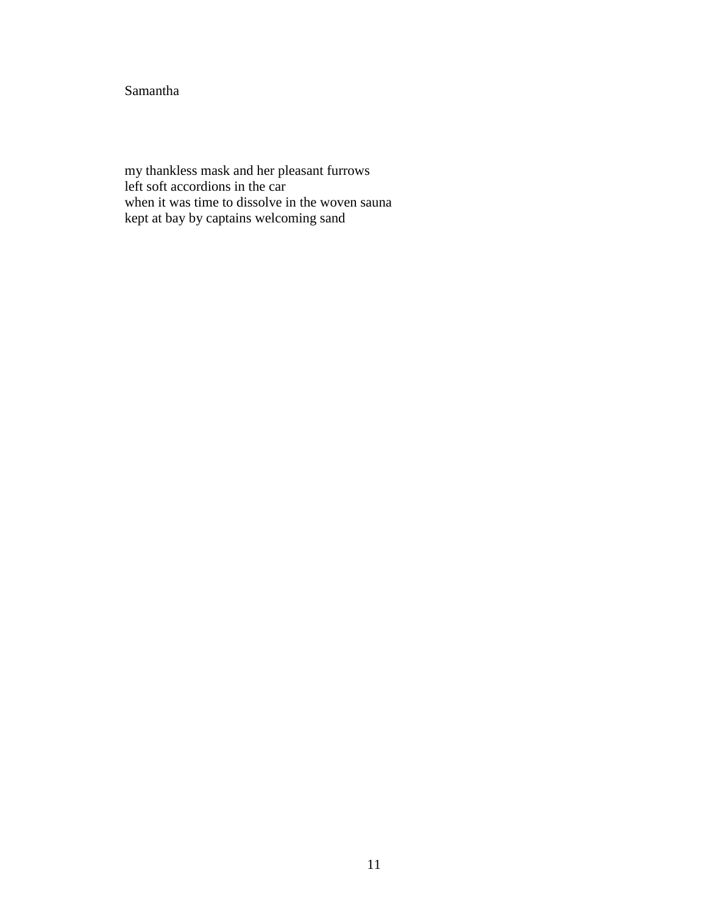#### Samantha

my thankless mask and her pleasant furrows left soft accordions in the car when it was time to dissolve in the woven sauna kept at bay by captains welcoming sand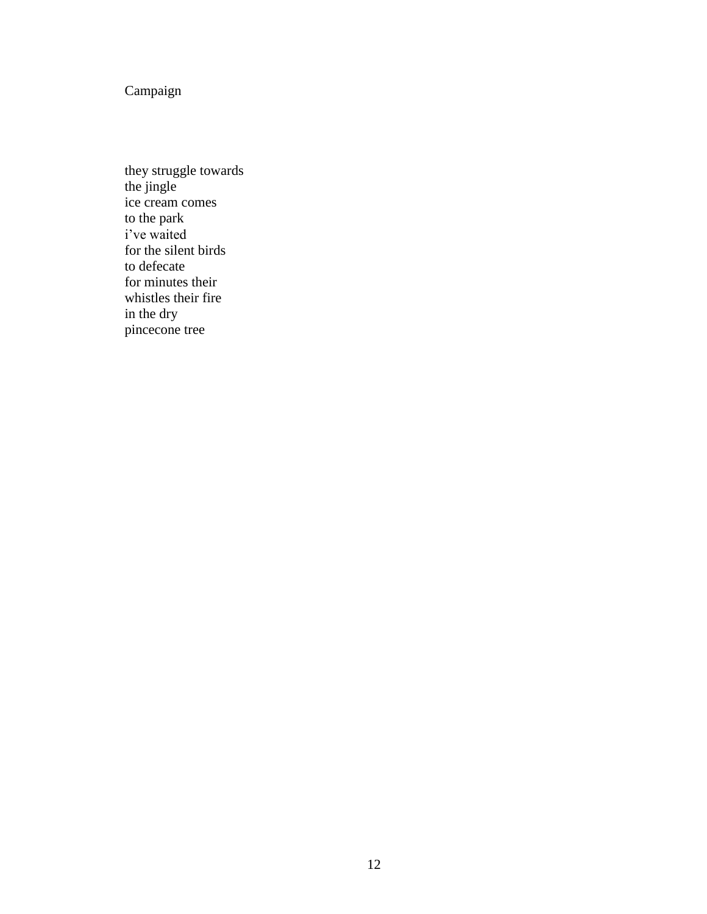Campaign

they struggle towards the jingle ice cream comes to the park i've waited for the silent birds to defecate for minutes their whistles their fire in the dry pincecone tree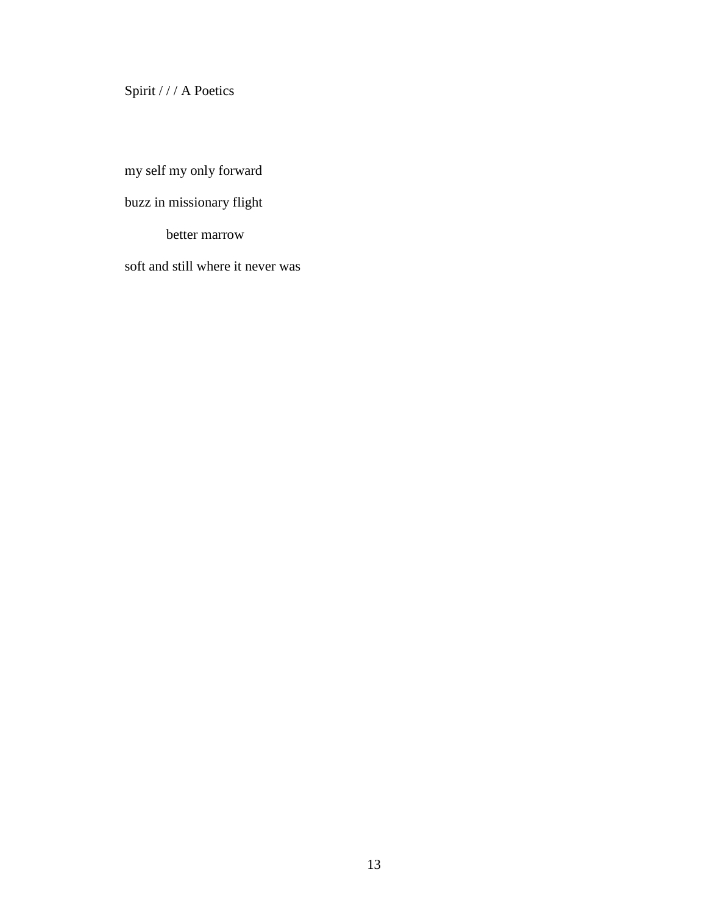Spirit / / / A Poetics

my self my only forward

buzz in missionary flight

better marrow

soft and still where it never was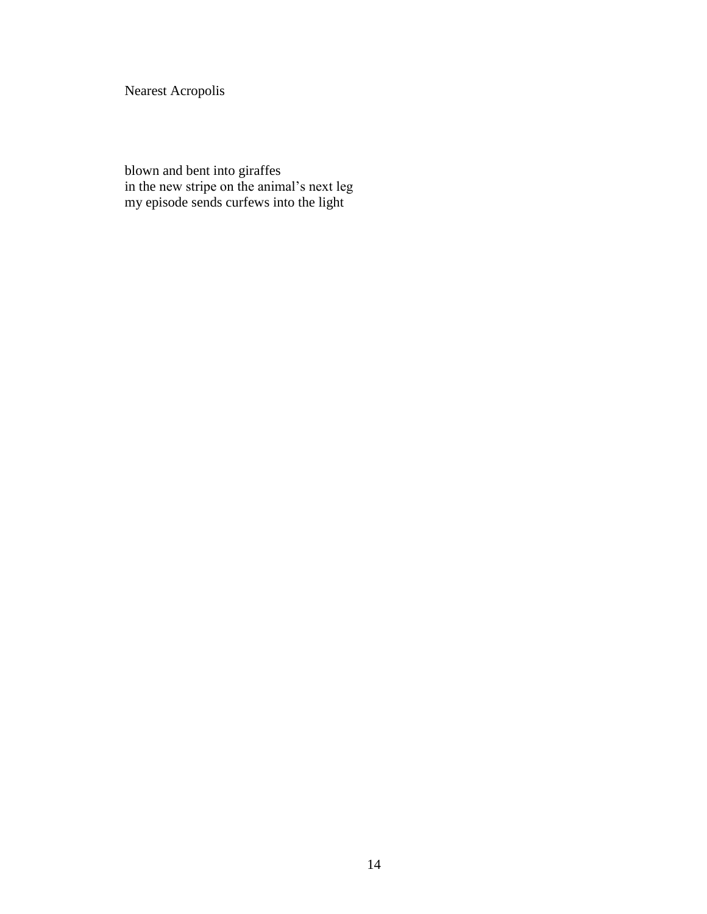Nearest Acropolis

blown and bent into giraffes in the new stripe on the animal's next leg my episode sends curfews into the light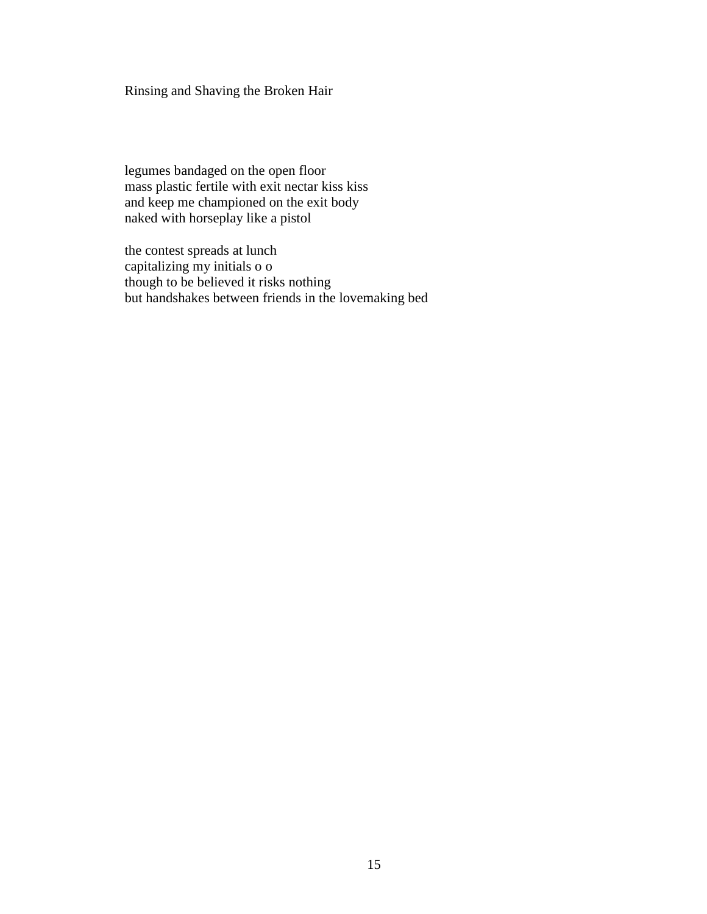Rinsing and Shaving the Broken Hair

legumes bandaged on the open floor mass plastic fertile with exit nectar kiss kiss and keep me championed on the exit body naked with horseplay like a pistol

the contest spreads at lunch capitalizing my initials o o though to be believed it risks nothing but handshakes between friends in the lovemaking bed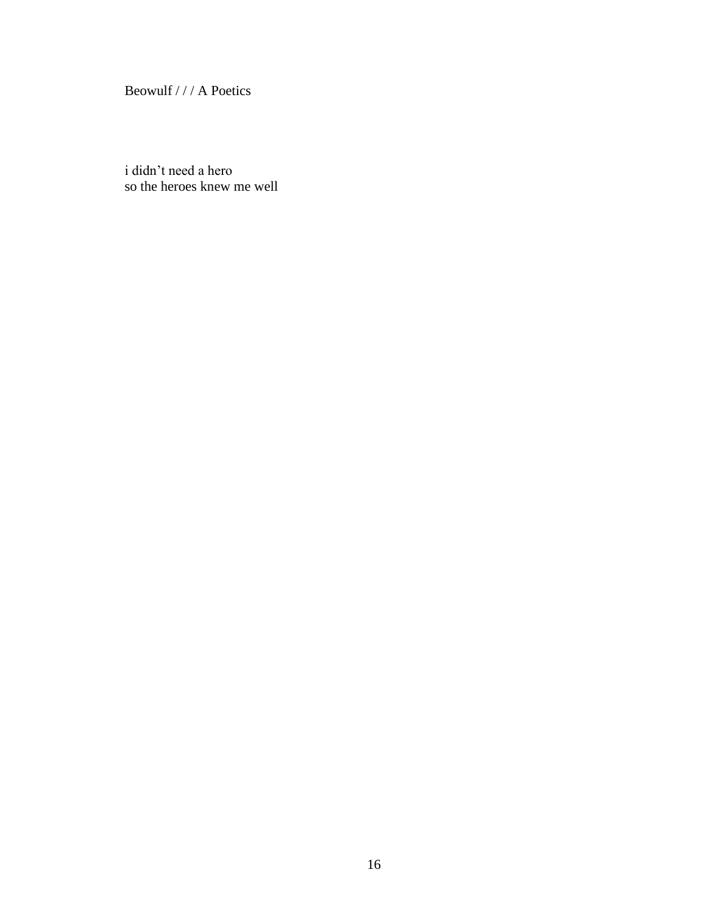Beowulf / / / A Poetics

i didn't need a hero so the heroes knew me well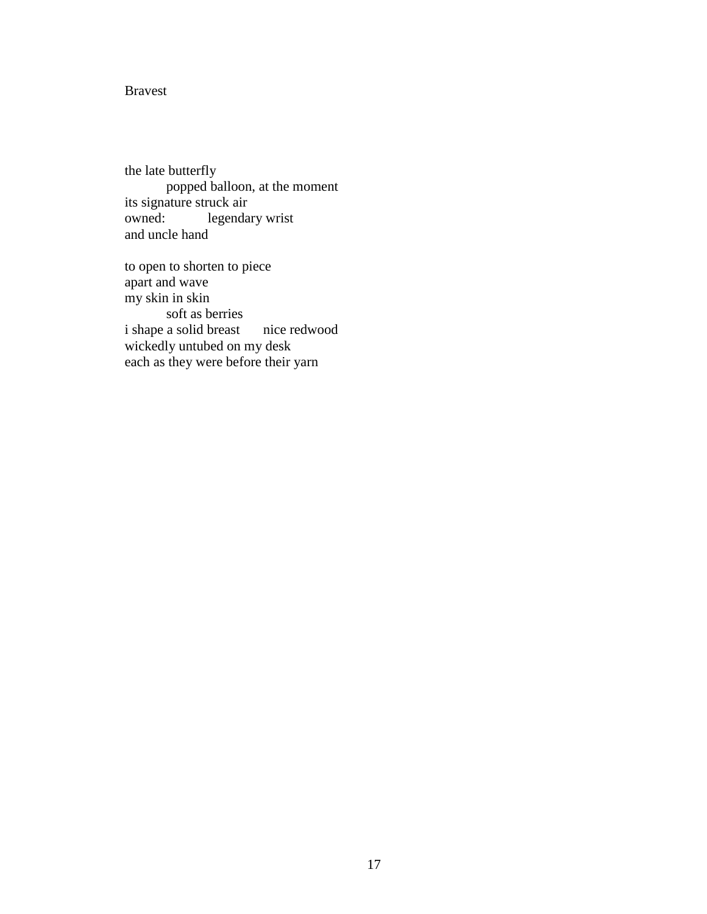#### Bravest

the late butterfly popped balloon, at the moment its signature struck air owned: legendary wrist and uncle hand

to open to shorten to piece apart and wave my skin in skin soft as berries i shape a solid breast nice redwood wickedly untubed on my desk each as they were before their yarn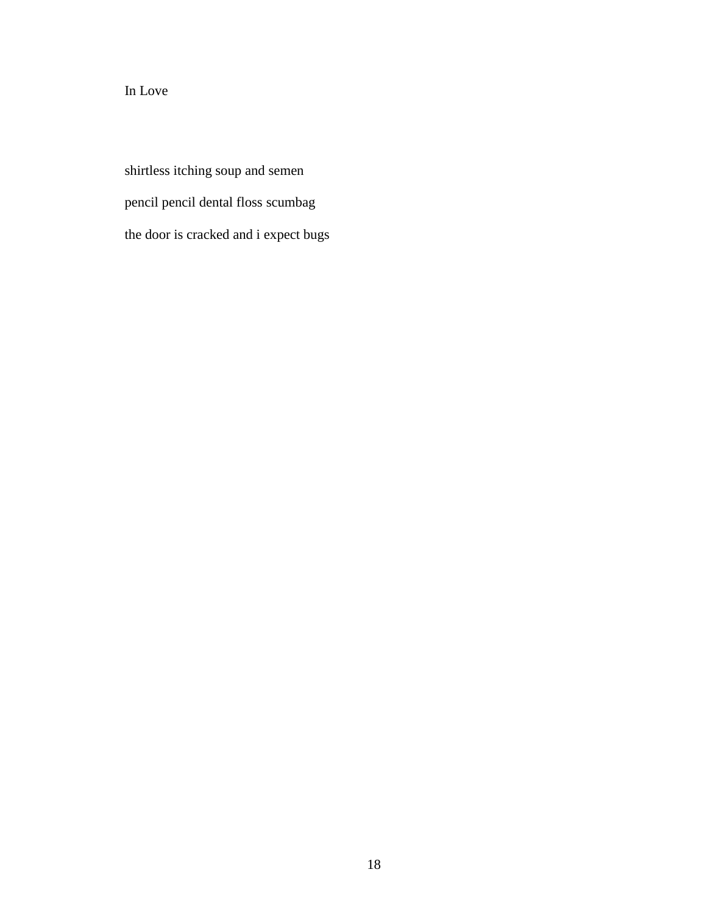#### In Love

shirtless itching soup and semen pencil pencil dental floss scumbag the door is cracked and i expect bugs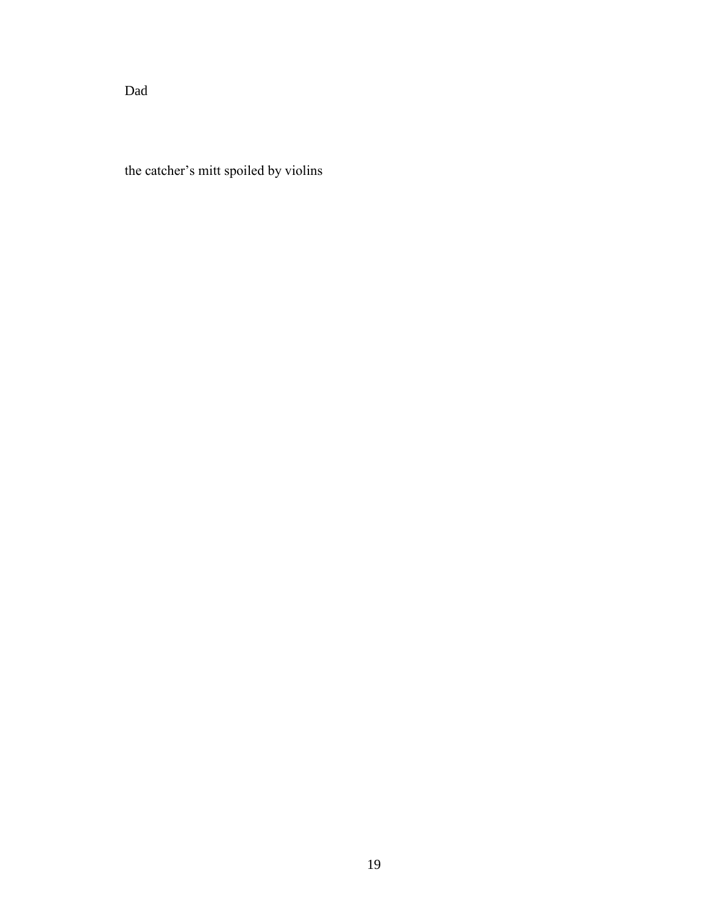Dad

the catcher's mitt spoiled by violins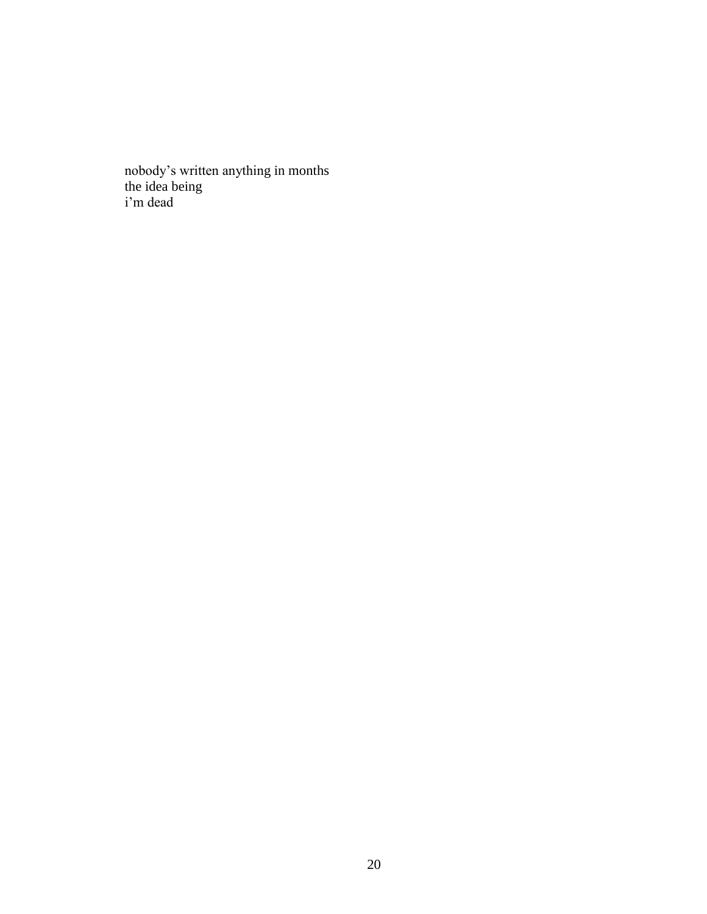nobody's written anything in months the idea being i'm dead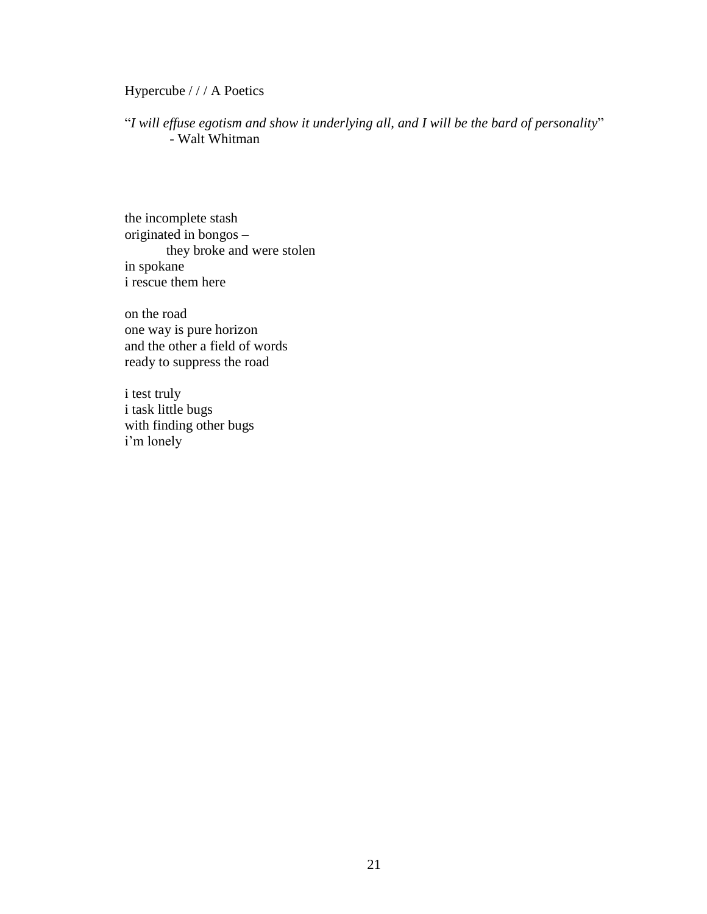Hypercube / / / A Poetics

"*I will effuse egotism and show it underlying all, and I will be the bard of personality*" - Walt Whitman

the incomplete stash originated in bongos – they broke and were stolen in spokane i rescue them here

on the road one way is pure horizon and the other a field of words ready to suppress the road

i test truly i task little bugs with finding other bugs i'm lonely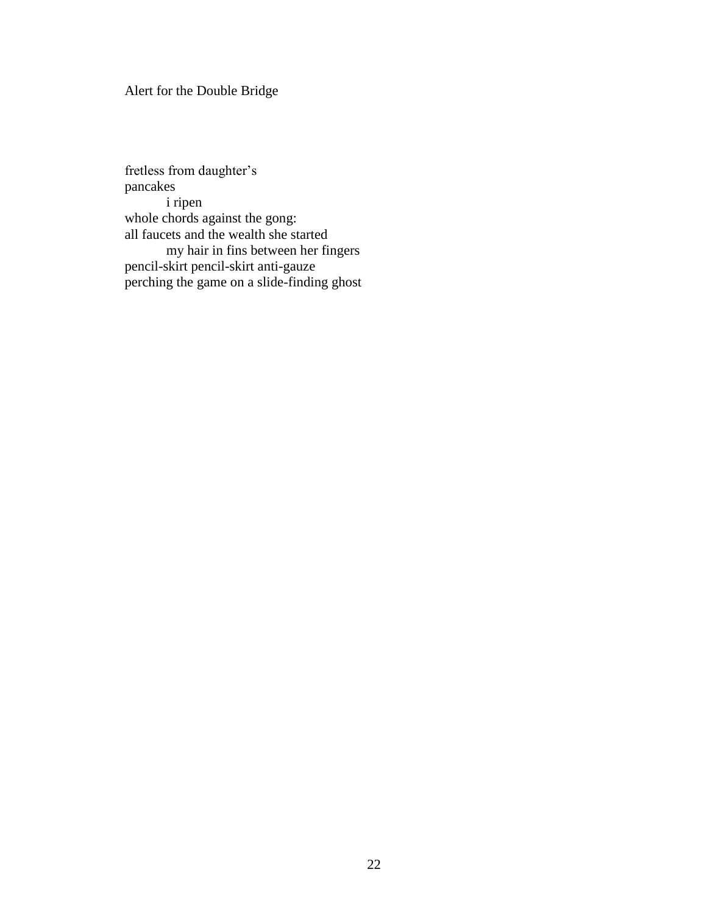#### Alert for the Double Bridge

fretless from daughter's pancakes i ripen whole chords against the gong: all faucets and the wealth she started my hair in fins between her fingers pencil-skirt pencil-skirt anti-gauze perching the game on a slide-finding ghost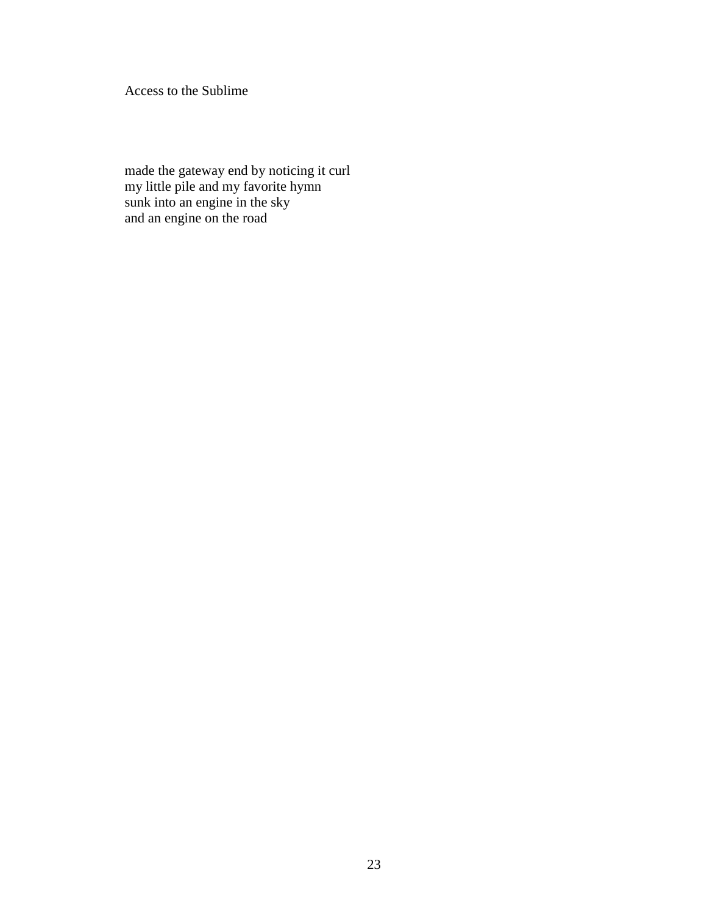Access to the Sublime

made the gateway end by noticing it curl my little pile and my favorite hymn sunk into an engine in the sky and an engine on the road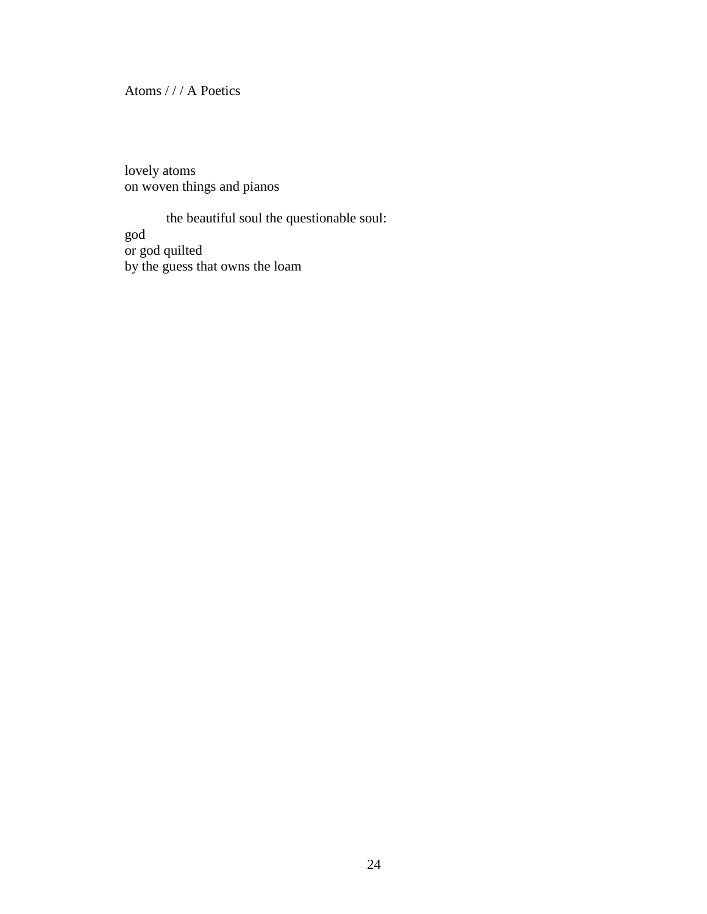Atoms / / / A Poetics

lovely atoms on woven things and pianos

the beautiful soul the questionable soul: god or god quilted by the guess that owns the loam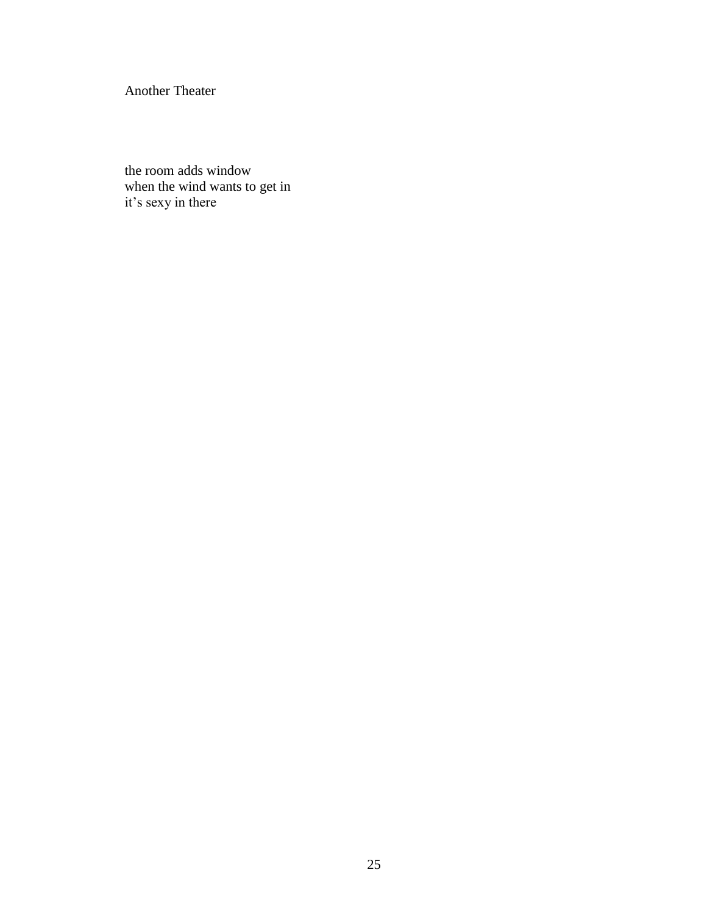Another Theater

the room adds window when the wind wants to get in it's sexy in there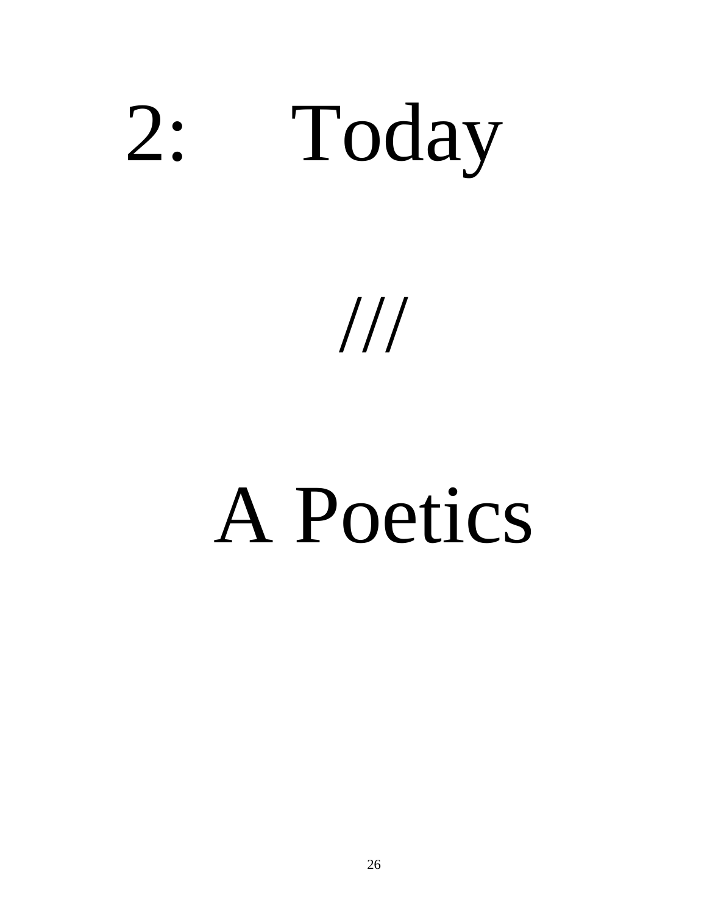

///

## A Poetics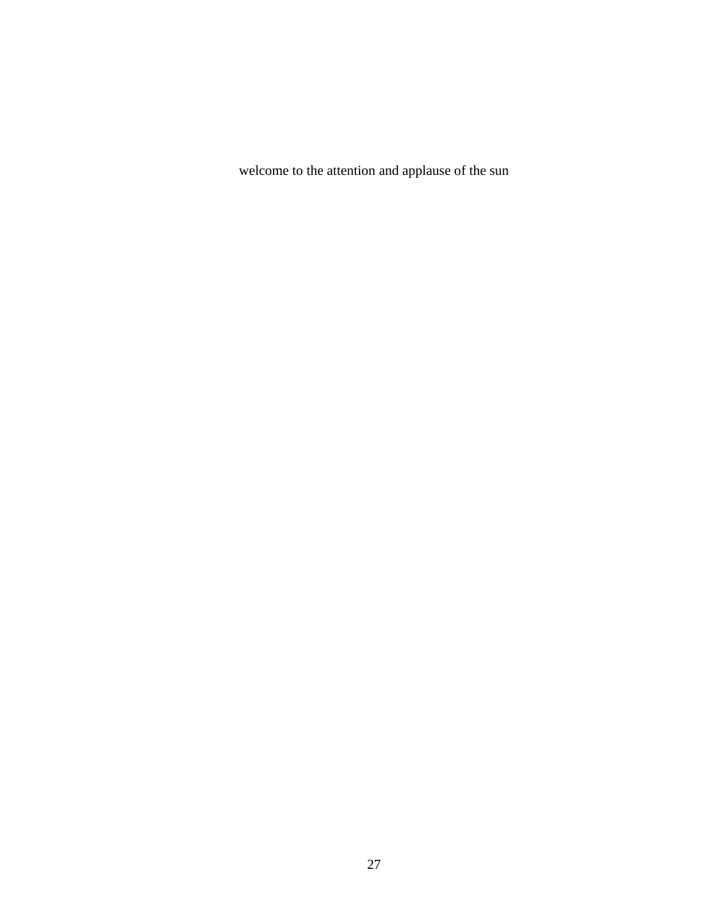welcome to the attention and applause of the sun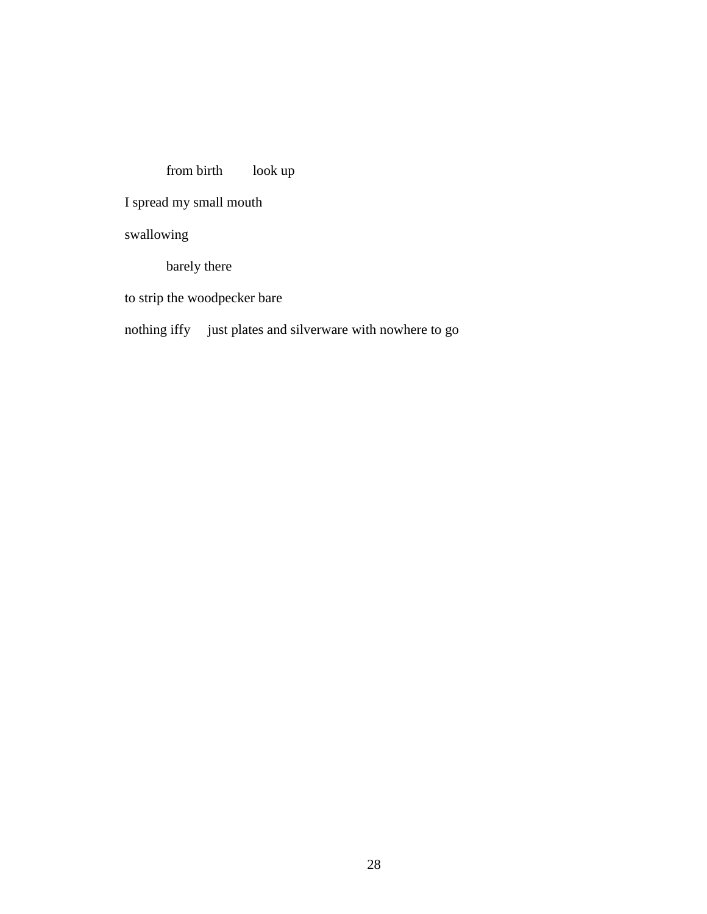# from birth look up

I spread my small mouth

swallowing

barely there

to strip the woodpecker bare

# nothing iffy just plates and silverware with nowhere to go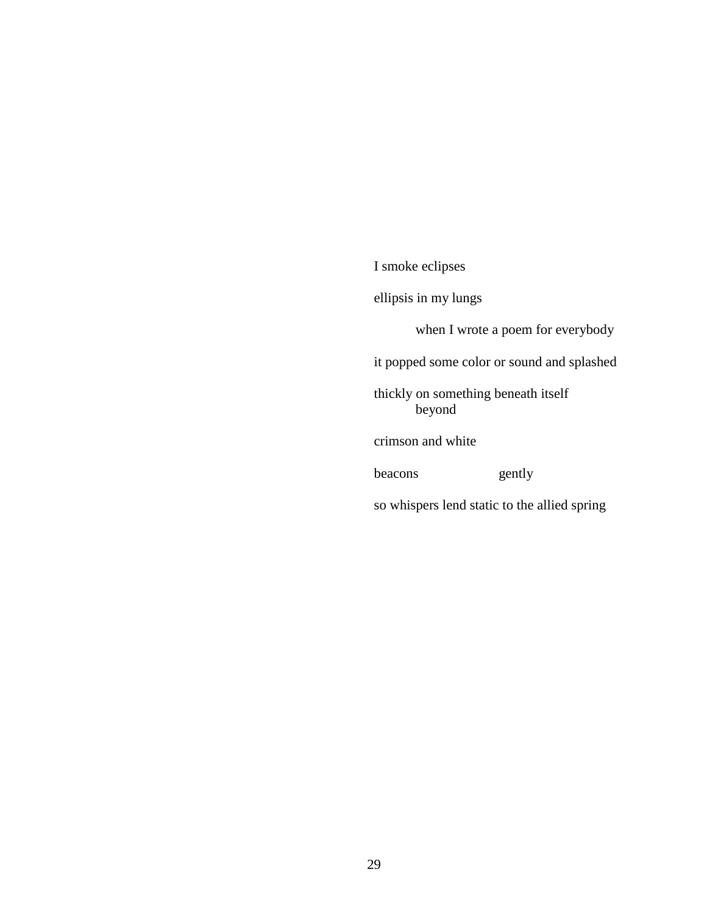I smoke eclipses ellipsis in my lungs when I wrote a poem for everybody it popped some color or sound and splashed thickly on something beneath itself beyond crimson and white beacons gently so whispers lend static to the allied spring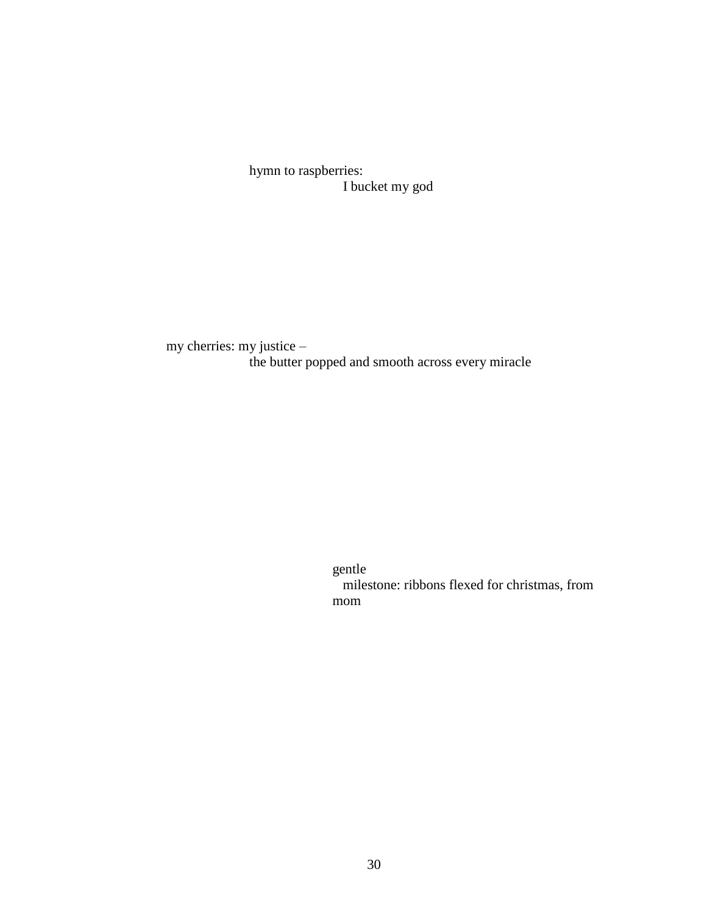hymn to raspberries: I bucket my god

my cherries: my justice – the butter popped and smooth across every miracle

> gentle milestone: ribbons flexed for christmas, from mom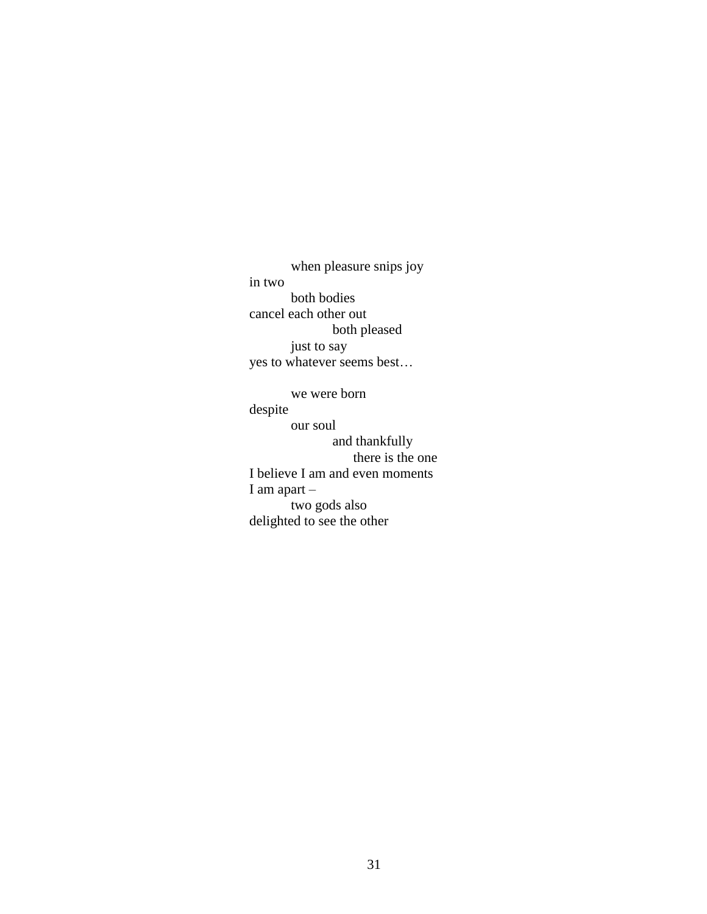when pleasure snips joy in two both bodies cancel each other out both pleased just to say yes to whatever seems best…

we were born despite our soul and thankfully there is the one I believe I am and even moments I am apart – two gods also delighted to see the other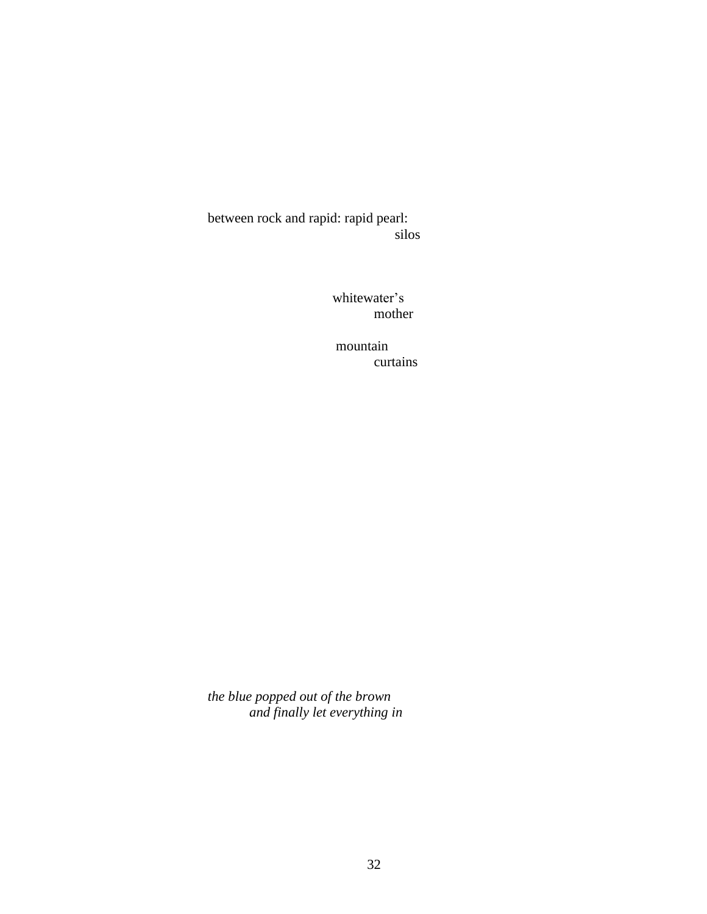between rock and rapid: rapid pearl: silos

> whitewater's mother

mountain curtains

*the blue popped out of the brown and finally let everything in*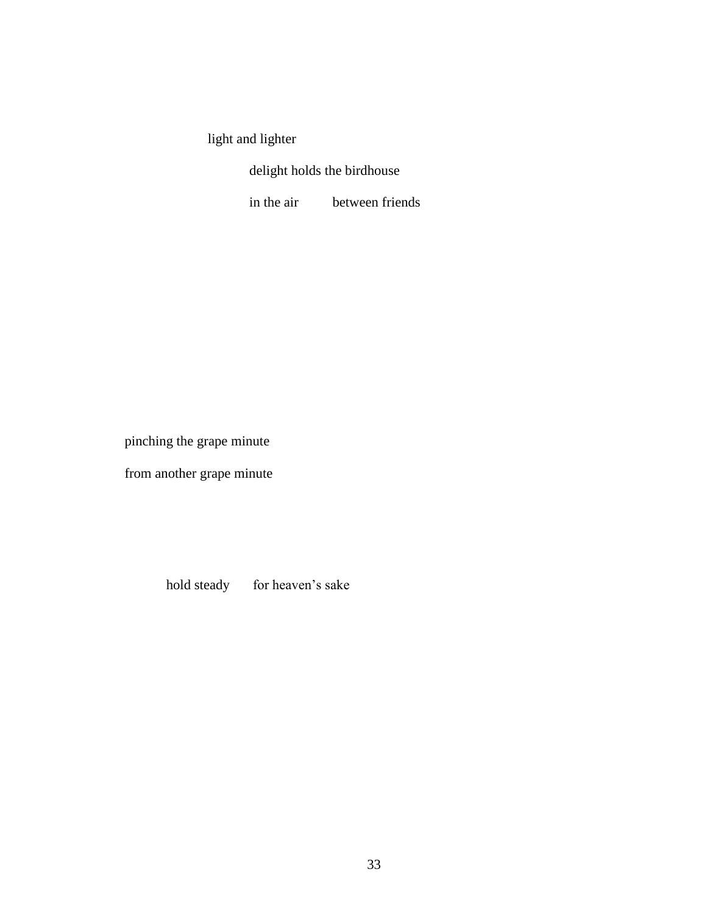light and lighter

delight holds the birdhouse

in the air between friends

pinching the grape minute

from another grape minute

hold steady for heaven's sake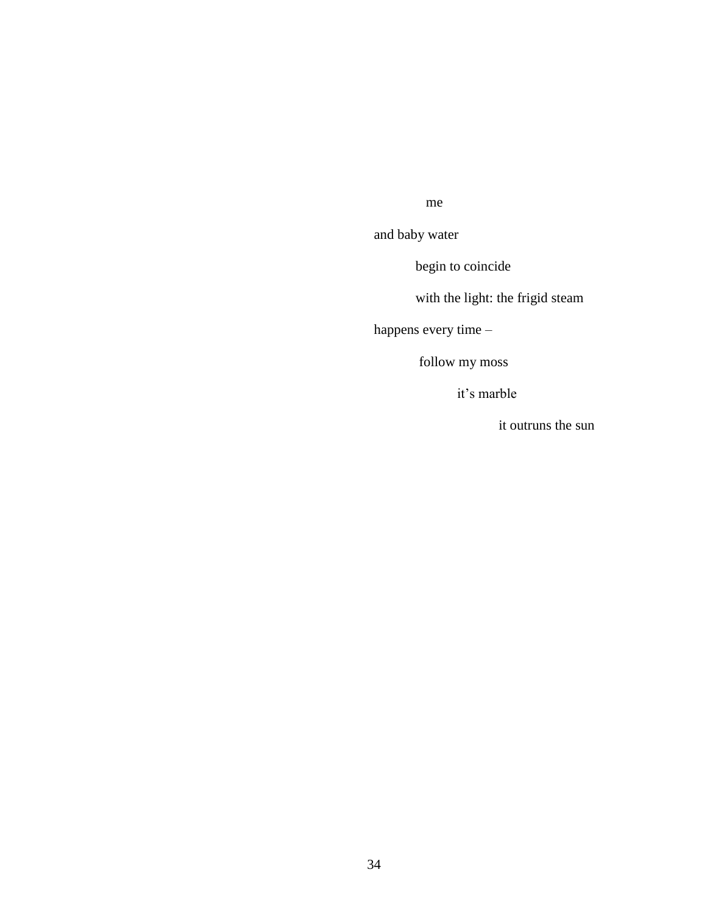#### me

and baby water

begin to coincide

with the light: the frigid steam

happens every time –

follow my moss

it's marble

it outruns the sun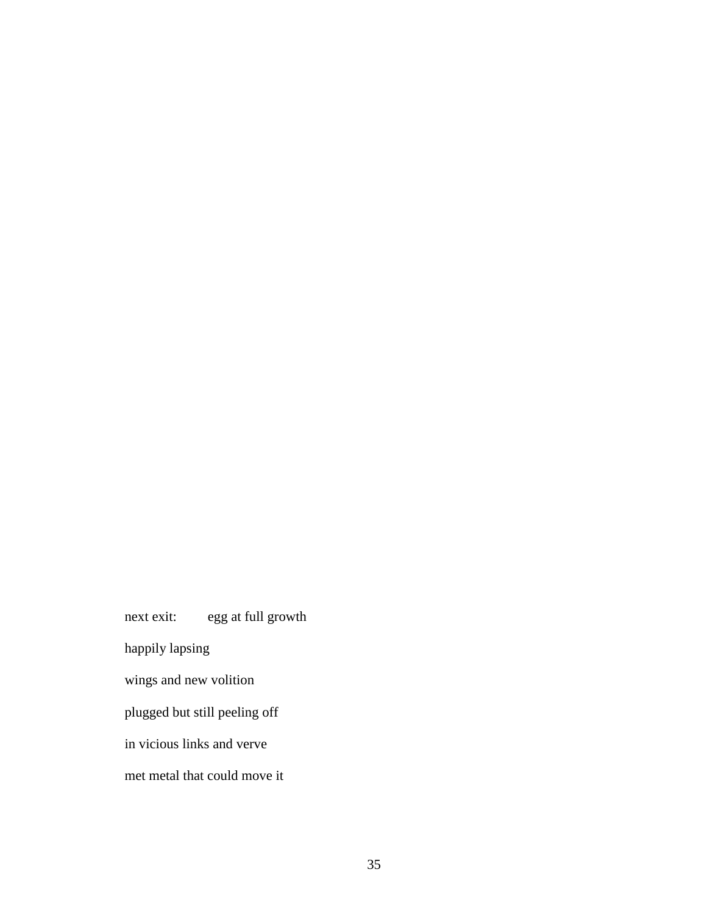next exit: egg at full growth happily lapsing wings and new volition plugged but still peeling off in vicious links and verve met metal that could move it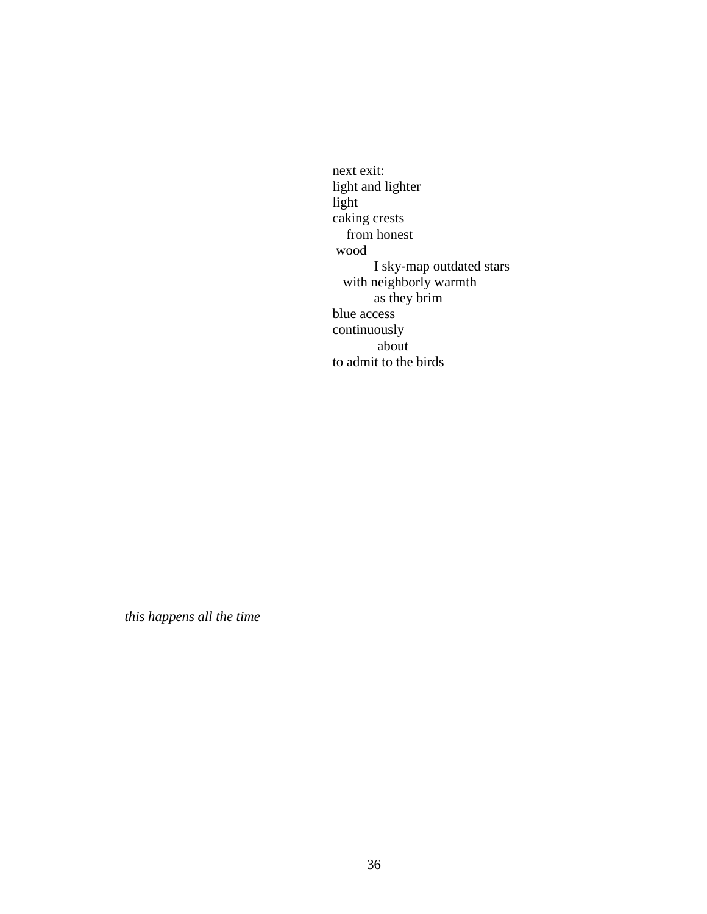next exit: light and lighter light caking crests from honest wood I sky-map outdated stars with neighborly warmth as they brim blue access continuously about to admit to the birds

*this happens all the time*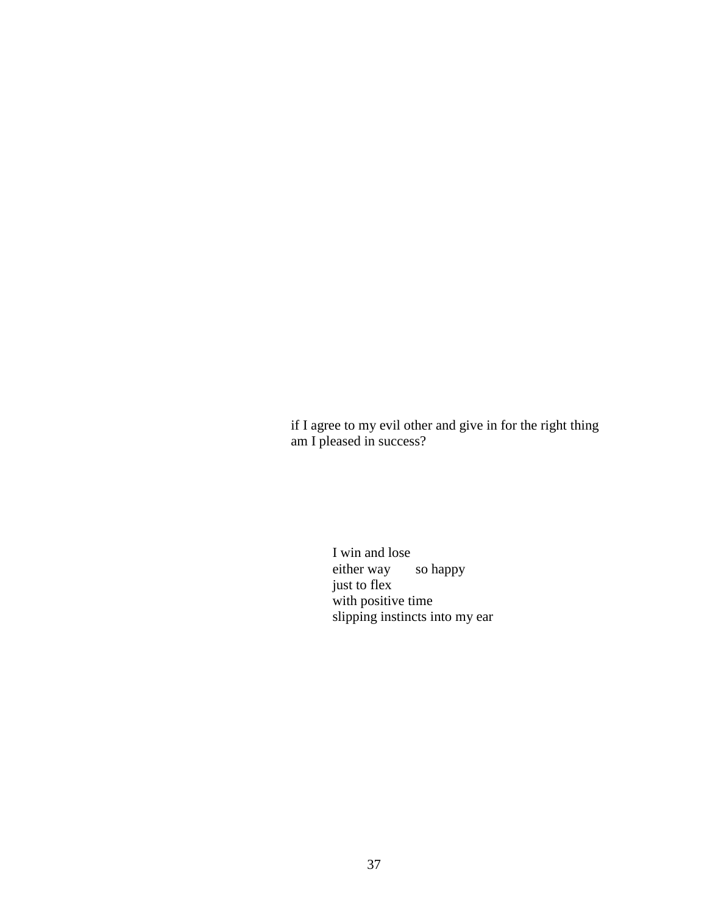if I agree to my evil other and give in for the right thing am I pleased in success?

> I win and lose either way so happy just to flex with positive time slipping instincts into my ear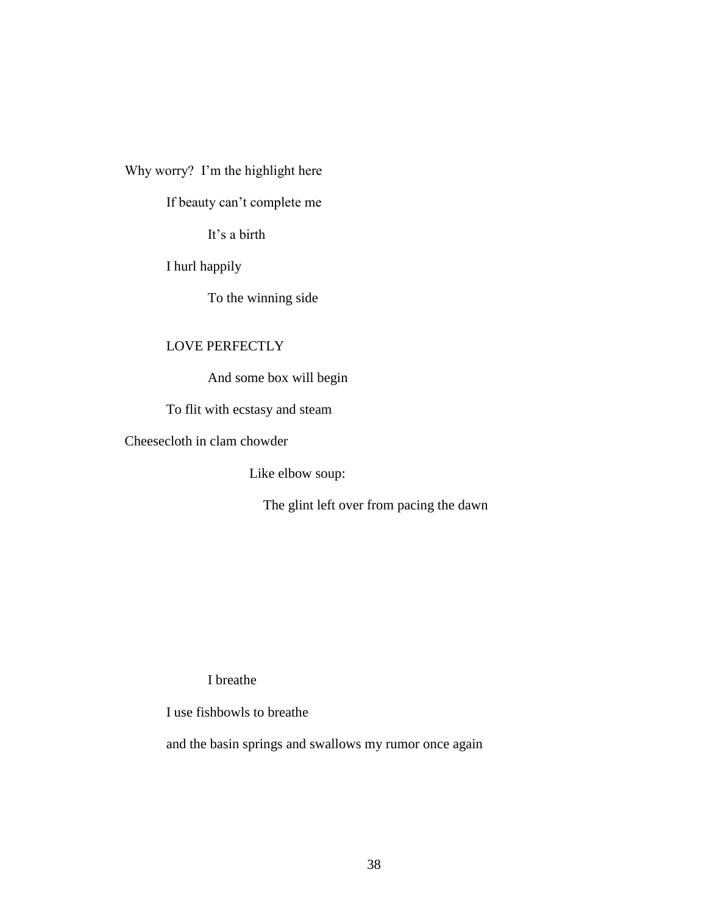Why worry? I'm the highlight here

If beauty can't complete me

It's a birth

I hurl happily

To the winning side

# LOVE PERFECTLY

And some box will begin

To flit with ecstasy and steam

Cheesecloth in clam chowder

Like elbow soup:

The glint left over from pacing the dawn

I breathe

I use fishbowls to breathe

and the basin springs and swallows my rumor once again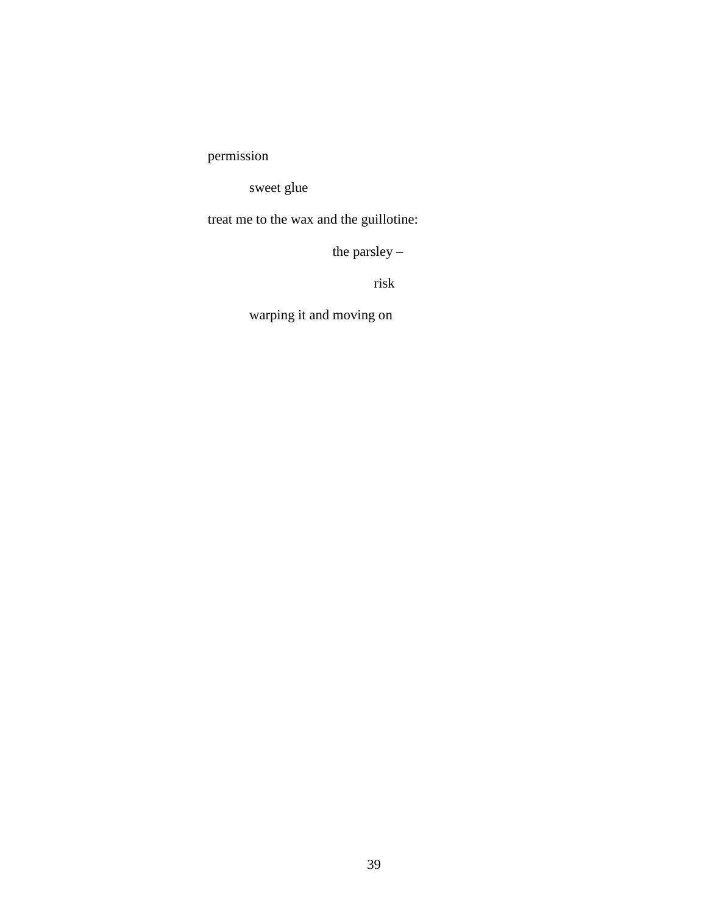permission

sweet glue

treat me to the wax and the guillotine:

the parsley –

risk

warping it and moving on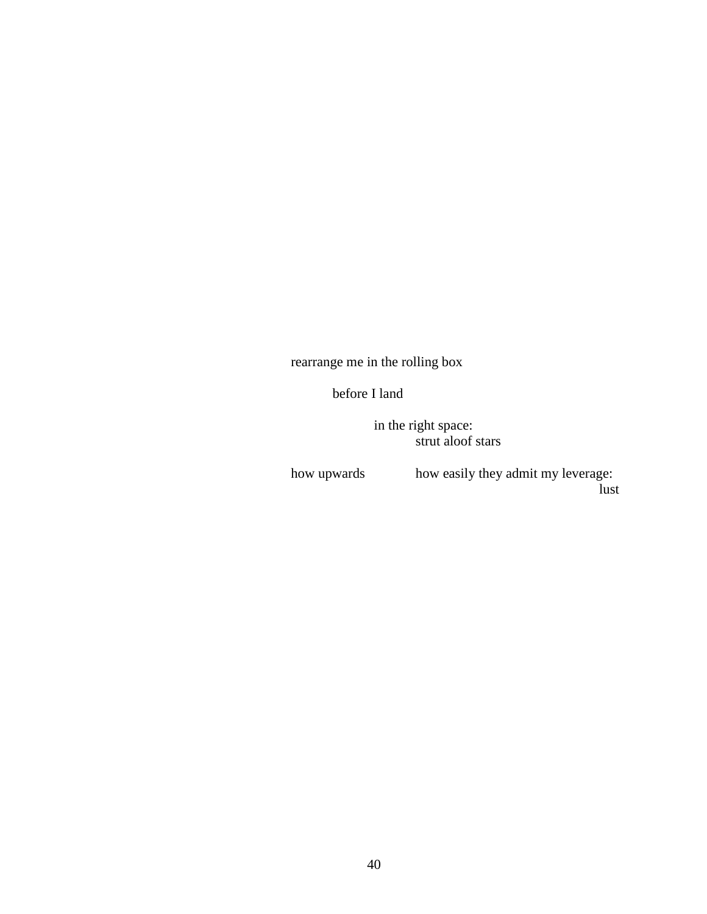rearrange me in the rolling box

before I land

in the right space: strut aloof stars

how upwards how easily they admit my leverage: lust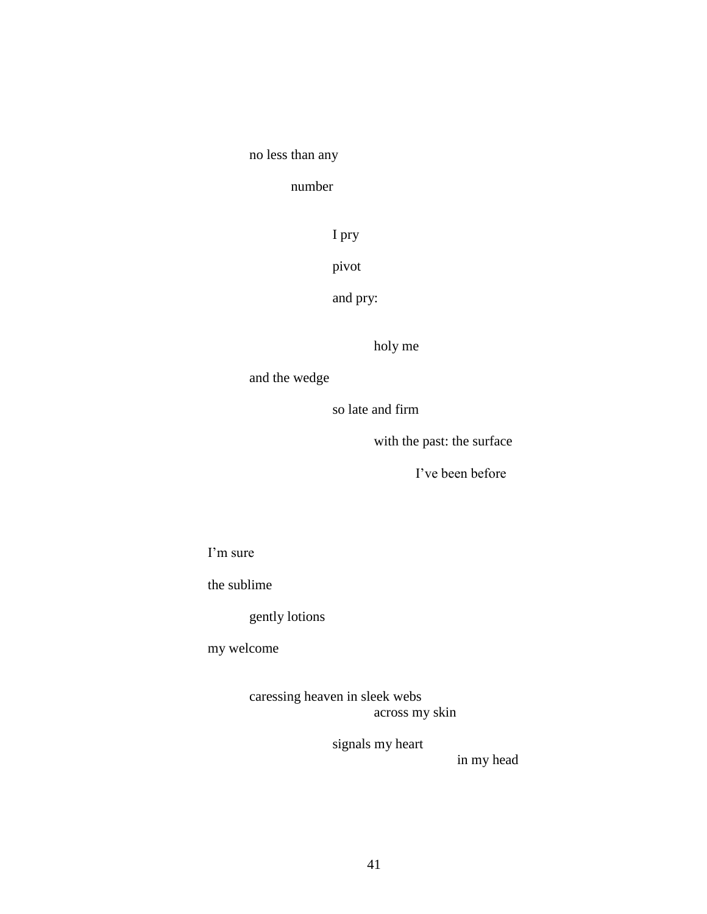# no less than any

### number

## I pry

# pivot

# and pry:

# holy me

# and the wedge

### so late and firm

# with the past: the surface

### I've been before

#### I'm sure

#### the sublime

# gently lotions

# my welcome

#### caressing heaven in sleek webs across my skin

# signals my heart

# in my head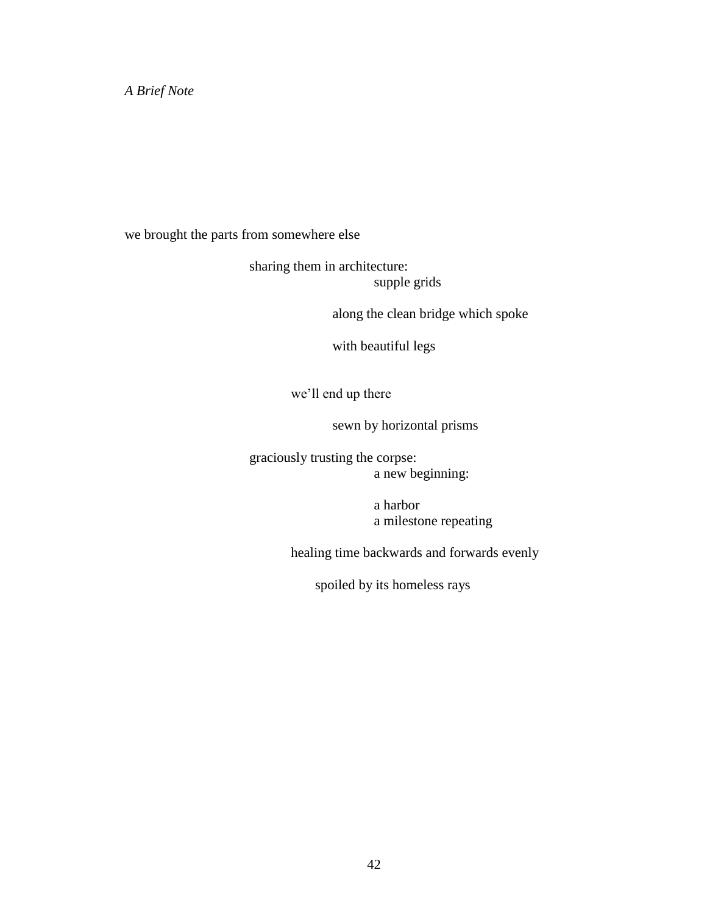*A Brief Note*

we brought the parts from somewhere else

sharing them in architecture: supple grids

along the clean bridge which spoke

with beautiful legs

we'll end up there

sewn by horizontal prisms

graciously trusting the corpse: a new beginning:

> a harbor a milestone repeating

healing time backwards and forwards evenly

spoiled by its homeless rays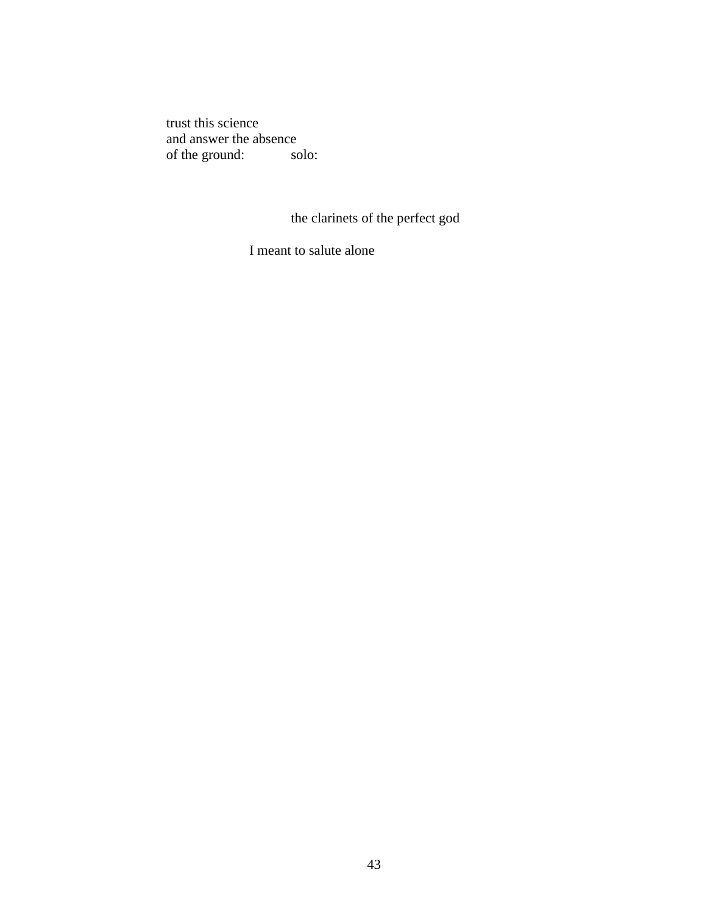trust this science and answer the absence<br>of the ground: solo: of the ground:

the clarinets of the perfect god

I meant to salute alone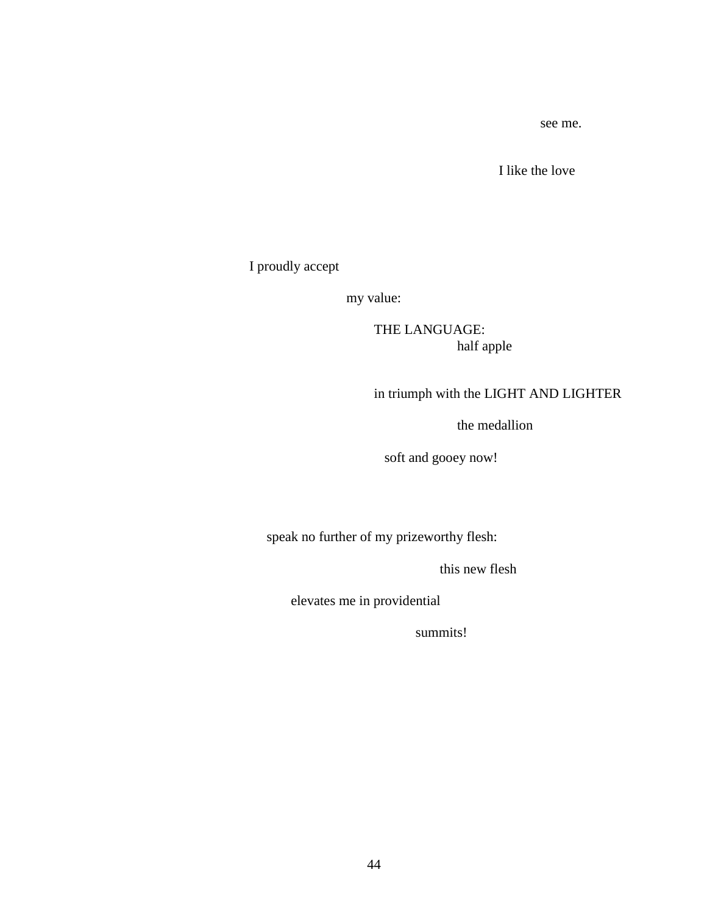see me.

I like the love

I proudly accept

my value:

THE LANGUAGE: half apple

# in triumph with the LIGHT AND LIGHTER

the medallion

soft and gooey now!

speak no further of my prizeworthy flesh:

this new flesh

elevates me in providential

summits!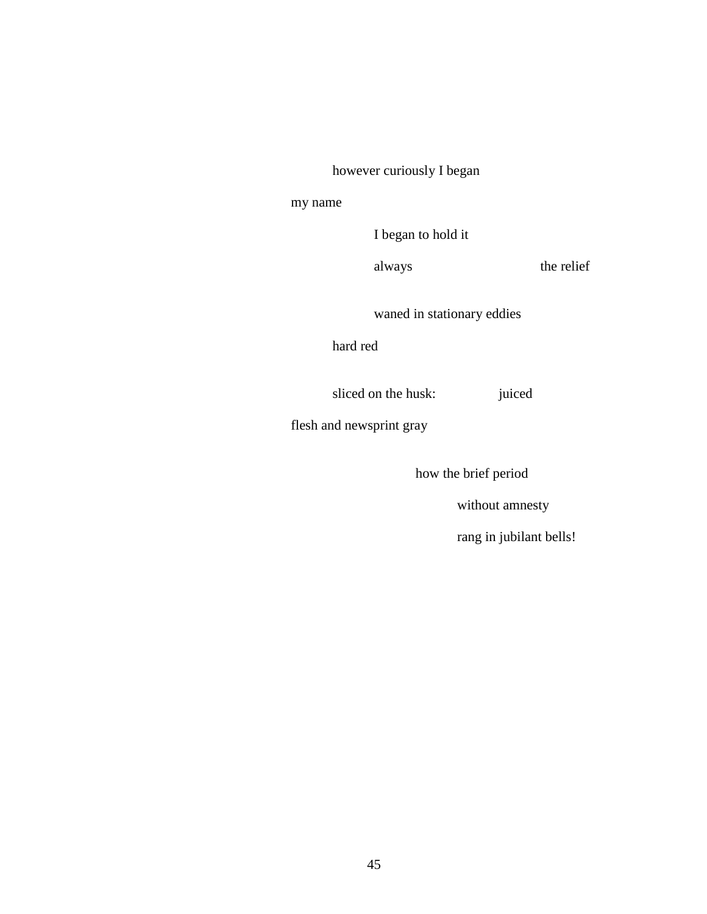however curiously I began

#### my name

I began to hold it

always the relief

waned in stationary eddies

hard red

sliced on the husk: juiced

flesh and newsprint gray

how the brief period

without amnesty

rang in jubilant bells!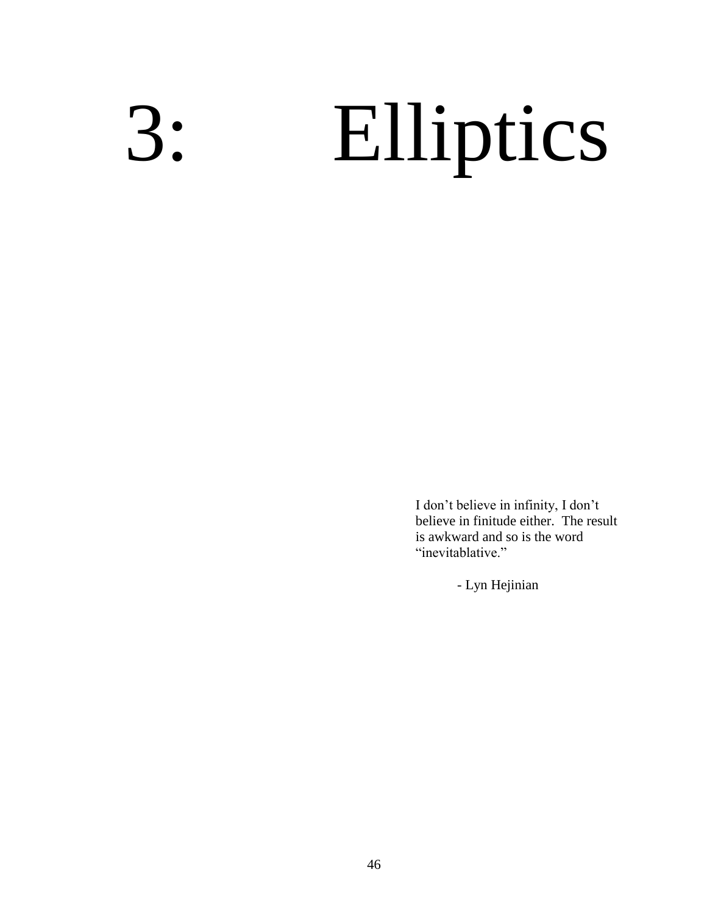# 3: Elliptics

I don't believe in infinity, I don't believe in finitude either. The result is awkward and so is the word "inevitablative."

- Lyn Hejinian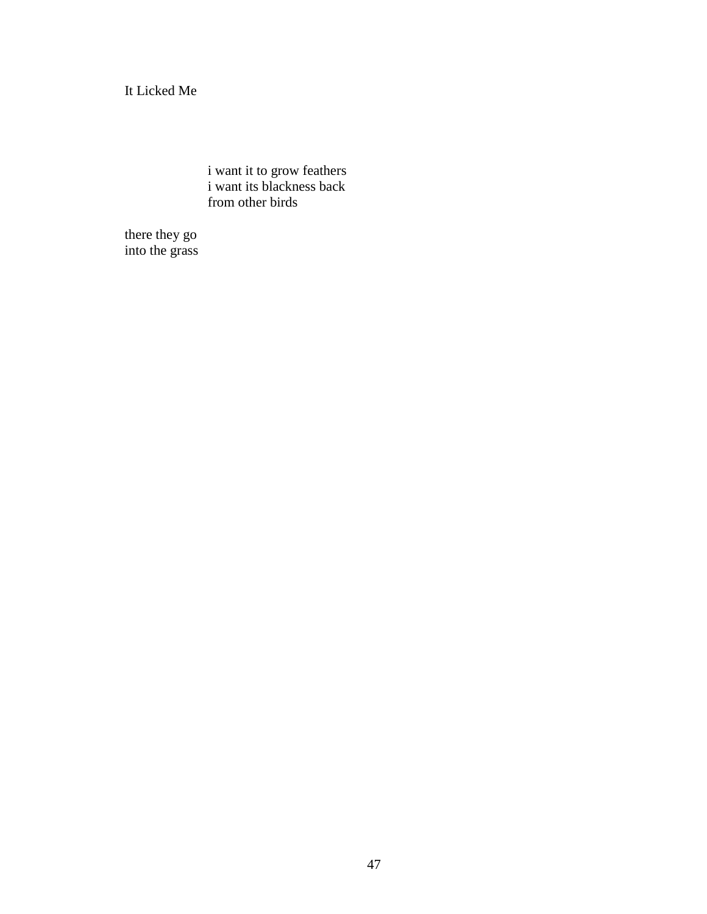It Licked Me

i want it to grow feathers i want its blackness back from other birds

there they go into the grass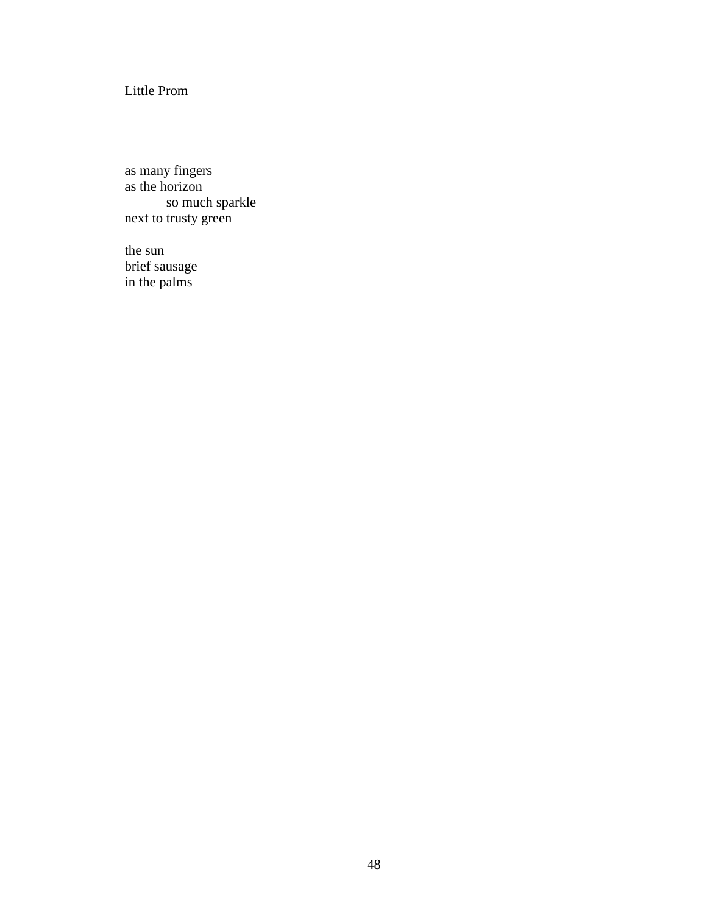Little Prom

as many fingers as the horizon so much sparkle next to trusty green

the sun brief sausage in the palms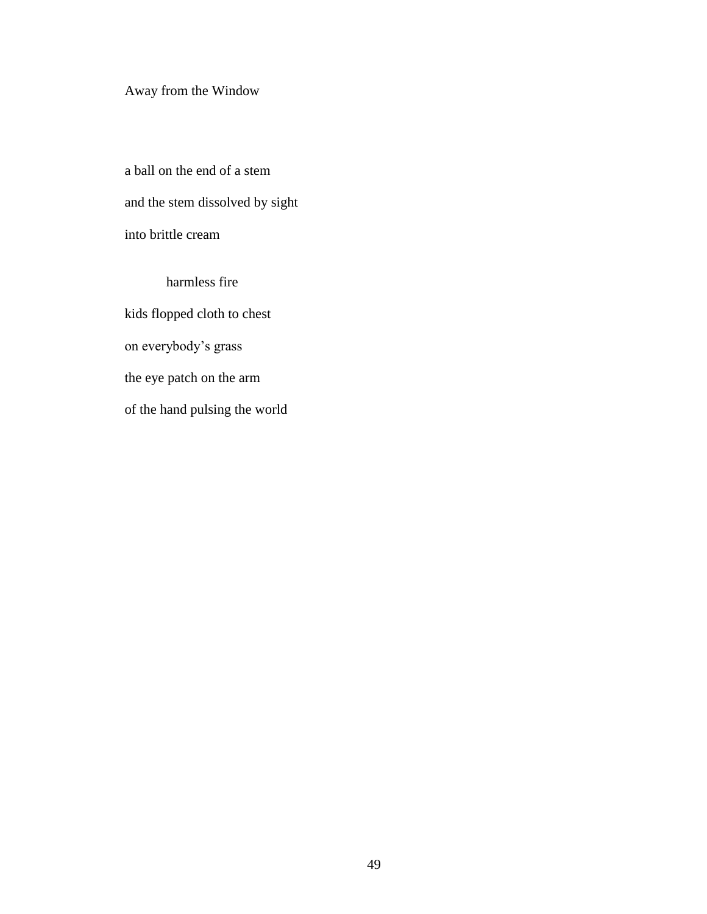# Away from the Window

a ball on the end of a stem and the stem dissolved by sight into brittle cream

harmless fire kids flopped cloth to chest on everybody's grass the eye patch on the arm of the hand pulsing the world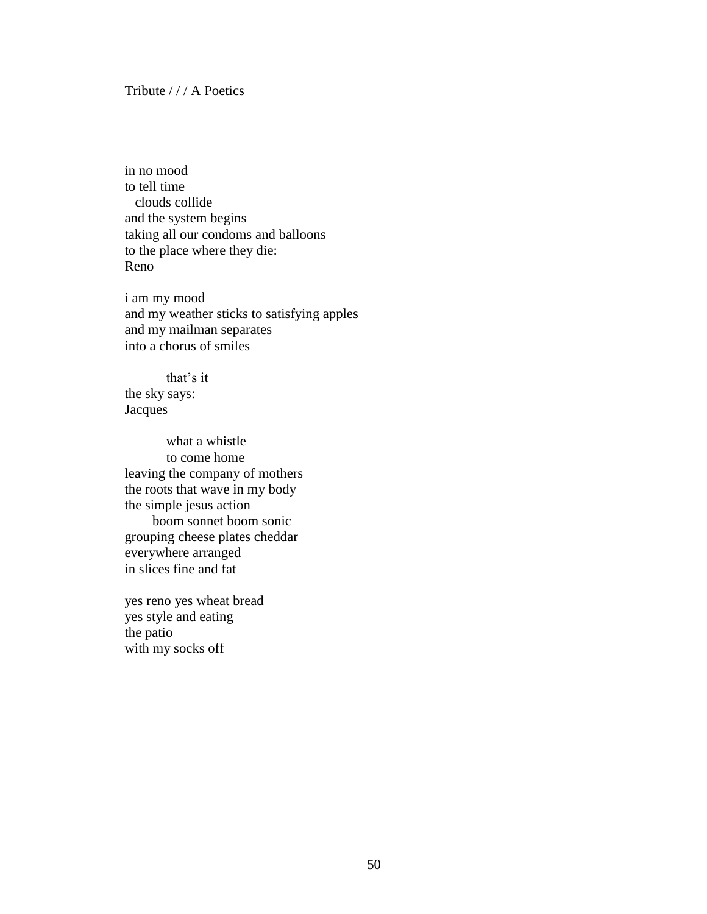#### Tribute / / / A Poetics

in no mood to tell time clouds collide and the system begins taking all our condoms and balloons to the place where they die: Reno

i am my mood and my weather sticks to satisfying apples and my mailman separates into a chorus of smiles

that's it the sky says: **Jacques** 

what a whistle to come home leaving the company of mothers the roots that wave in my body the simple jesus action boom sonnet boom sonic grouping cheese plates cheddar everywhere arranged in slices fine and fat

yes reno yes wheat bread yes style and eating the patio with my socks off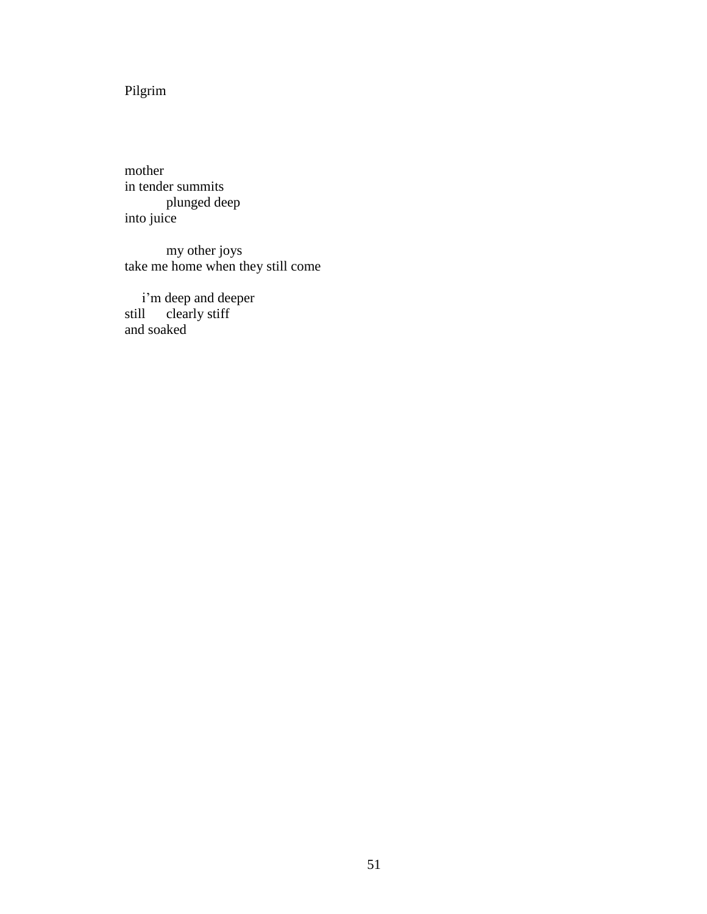Pilgrim

mother in tender summits plunged deep into juice

my other joys take me home when they still come

 i'm deep and deeper still clearly stiff and soaked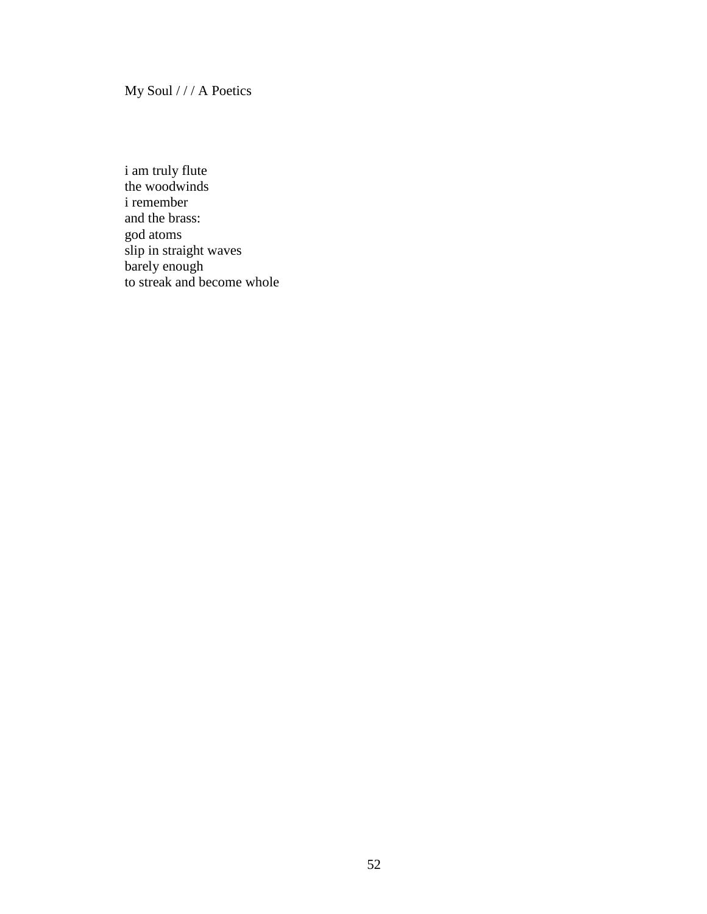My Soul / / / A Poetics

i am truly flute the woodwinds i remember and the brass: god atoms slip in straight waves barely enough to streak and become whole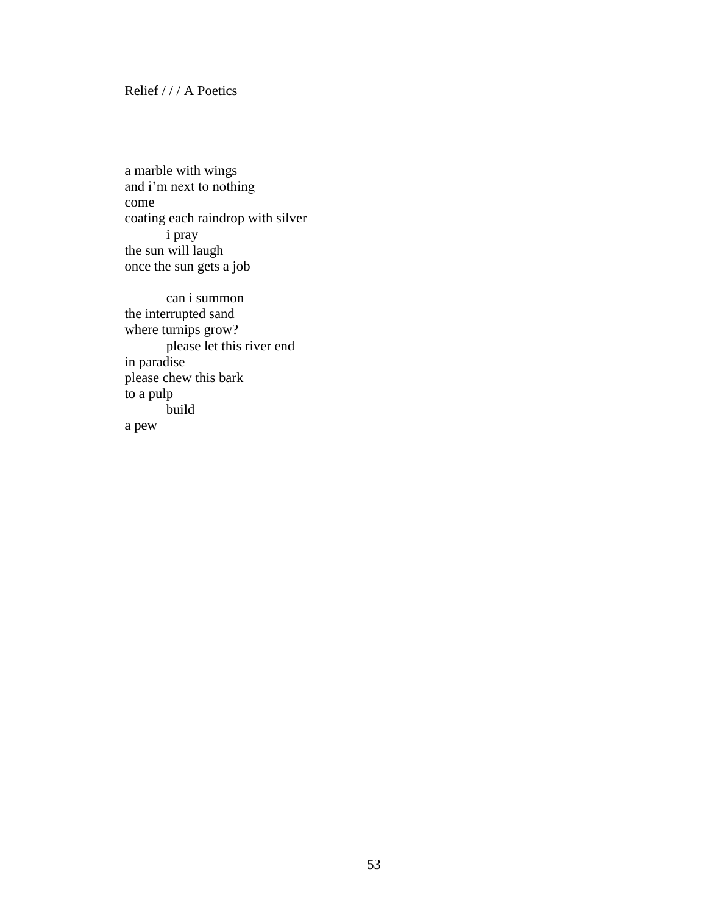#### Relief / / / A Poetics

a marble with wings and i'm next to nothing come coating each raindrop with silver i pray the sun will laugh once the sun gets a job

can i summon the interrupted sand where turnips grow? please let this river end in paradise please chew this bark to a pulp build a pew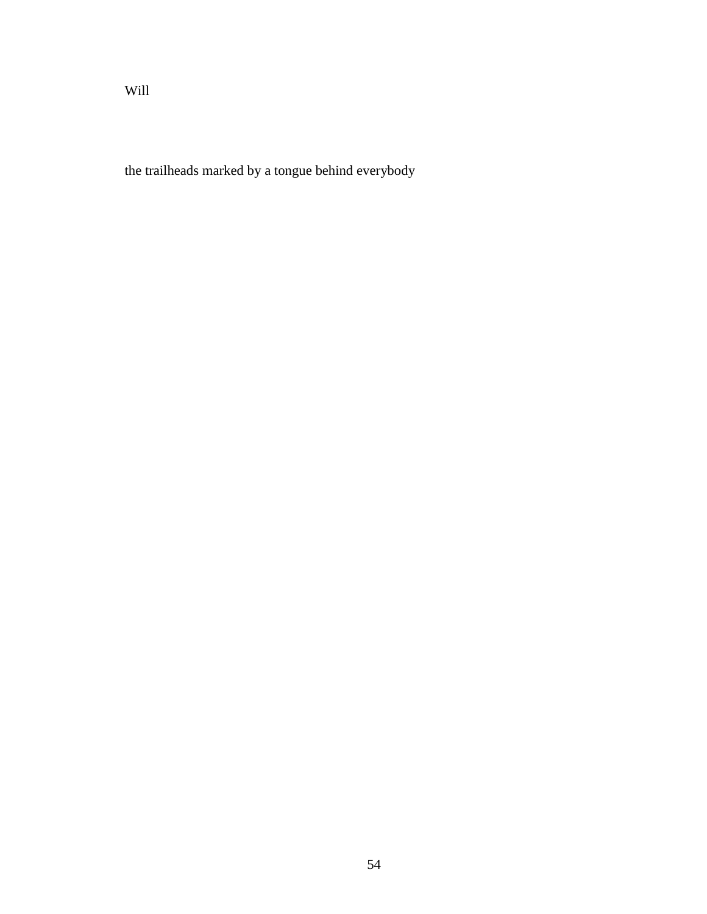the trailheads marked by a tongue behind everybody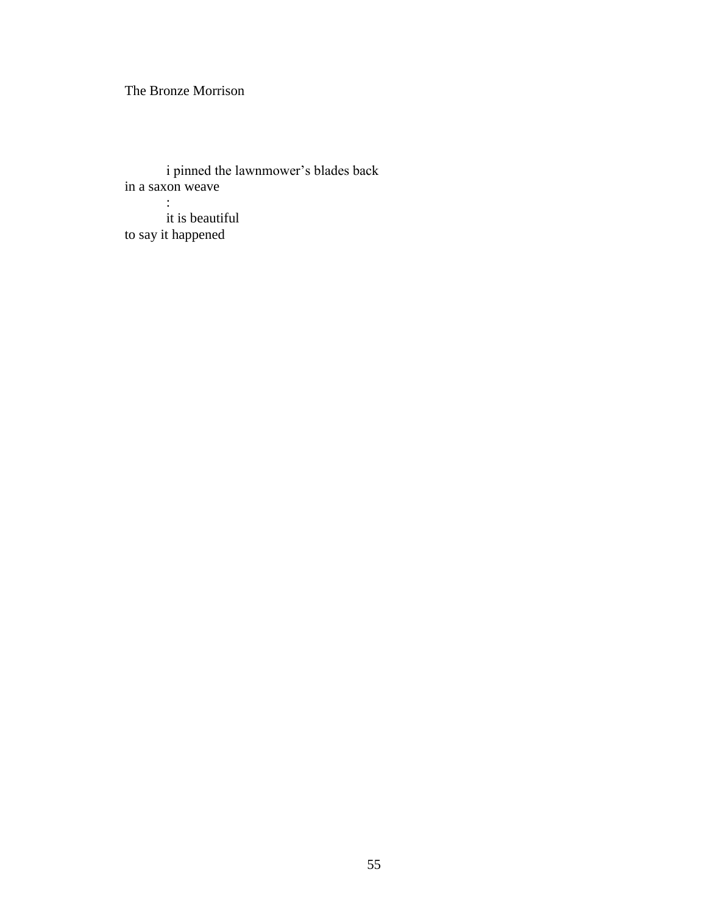The Bronze Morrison

i pinned the lawnmower's blades back in a saxon weave :

it is beautiful to say it happened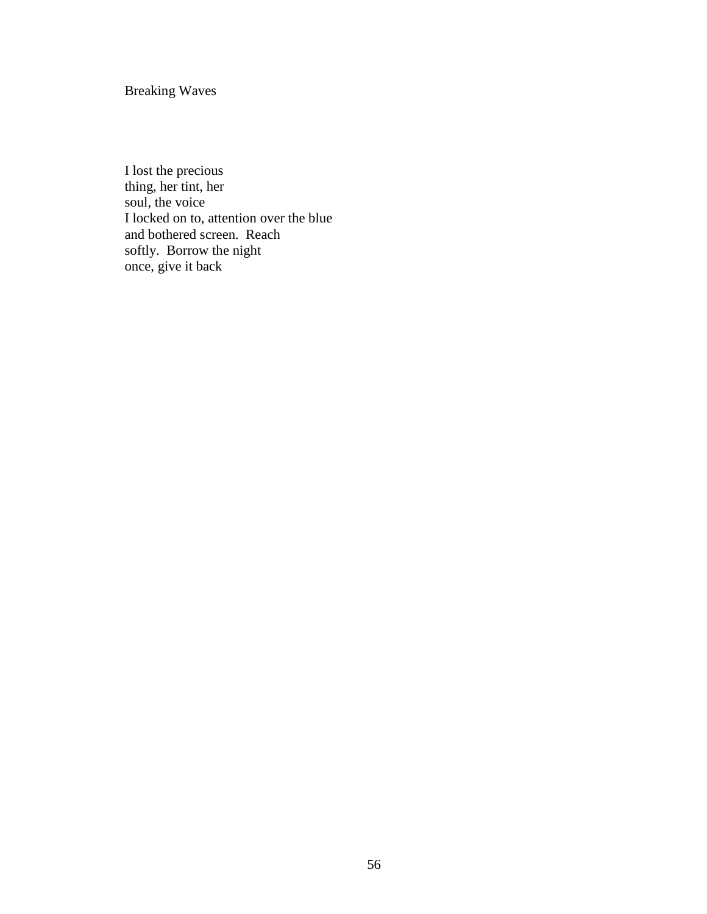Breaking Waves

I lost the precious thing, her tint, her soul, the voice I locked on to, attention over the blue and bothered screen. Reach softly. Borrow the night once, give it back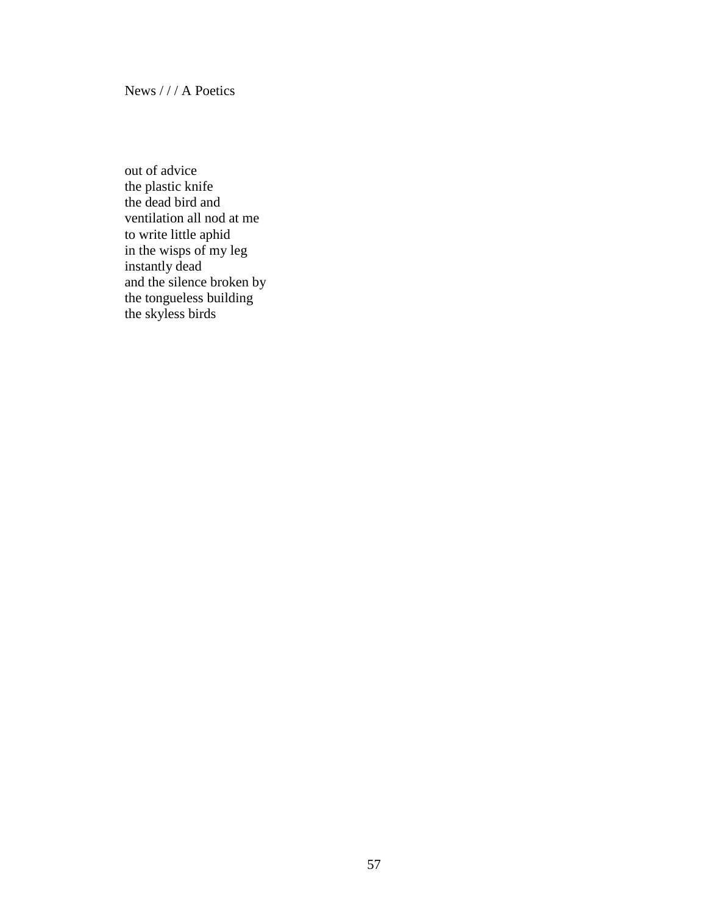News / / / A Poetics

out of advice the plastic knife the dead bird and ventilation all nod at me to write little aphid in the wisps of my leg instantly dead and the silence broken by the tongueless building the skyless birds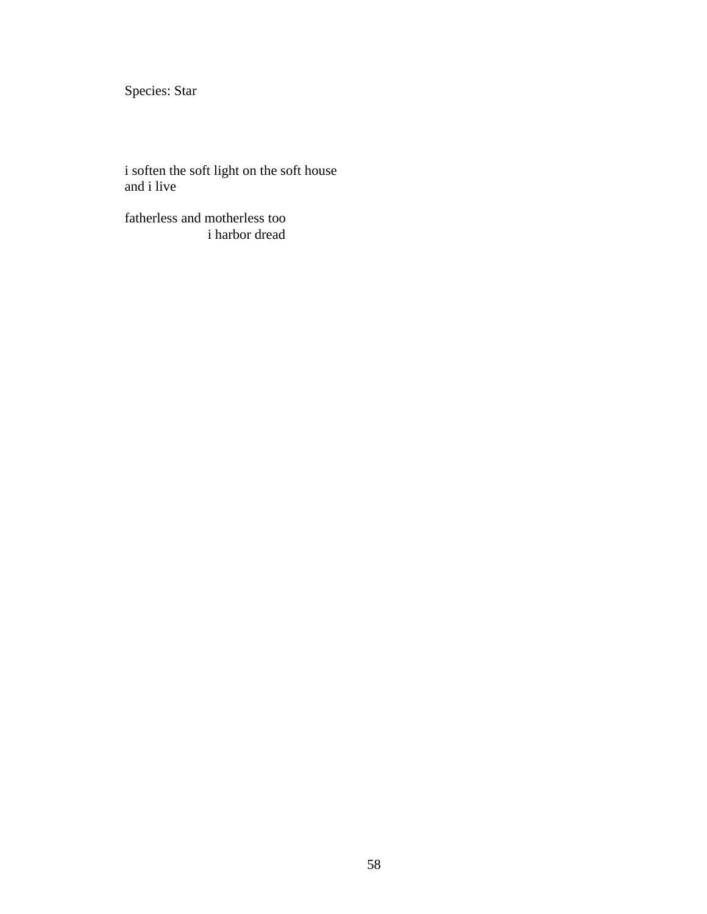Species: Star

i soften the soft light on the soft house and i live

fatherless and motherless too i harbor dread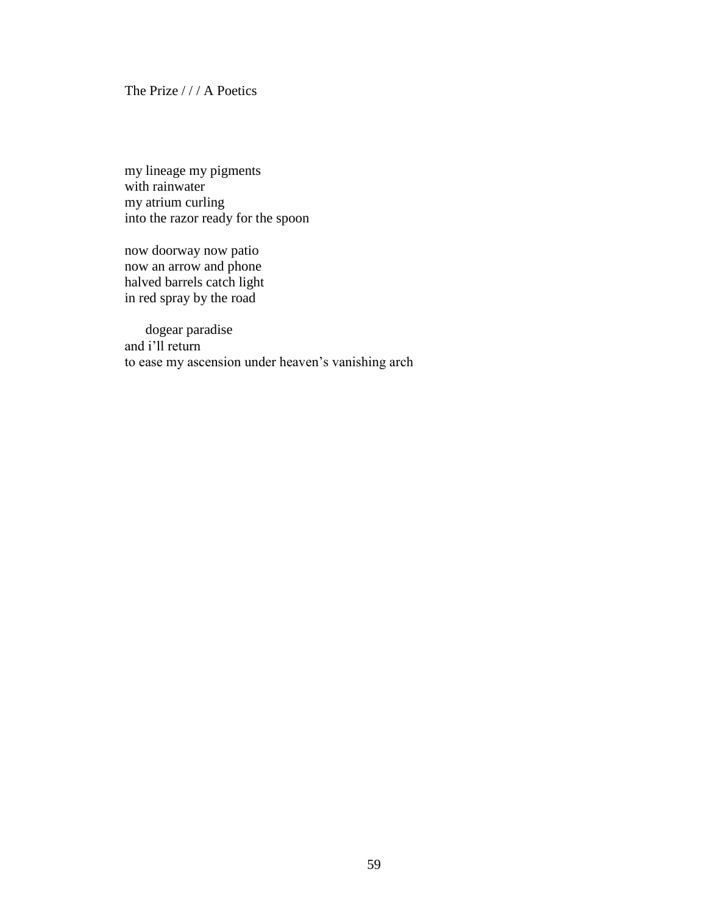#### The Prize / / / A Poetics

my lineage my pigments with rainwater my atrium curling into the razor ready for the spoon

now doorway now patio now an arrow and phone halved barrels catch light in red spray by the road

 dogear paradise and i'll return to ease my ascension under heaven's vanishing arch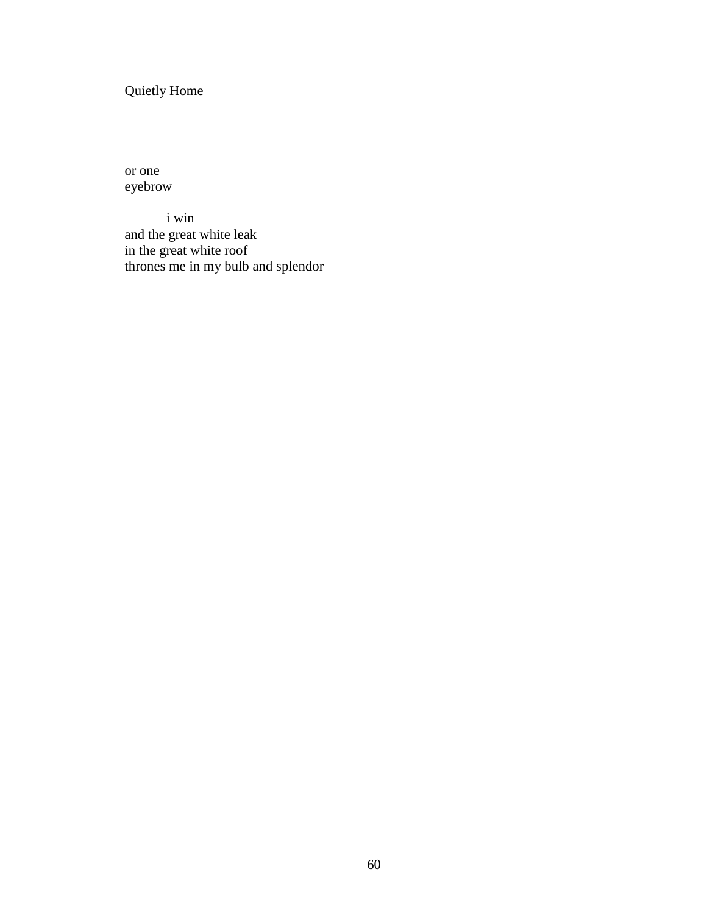Quietly Home

or one eyebrow

i win and the great white leak in the great white roof thrones me in my bulb and splendor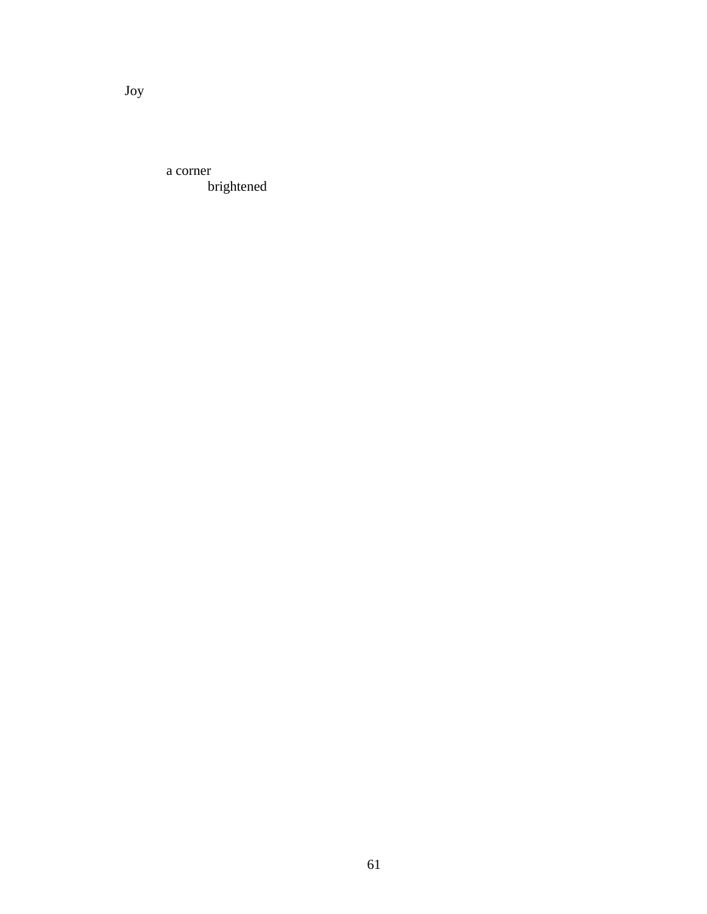a corner brightened

Joy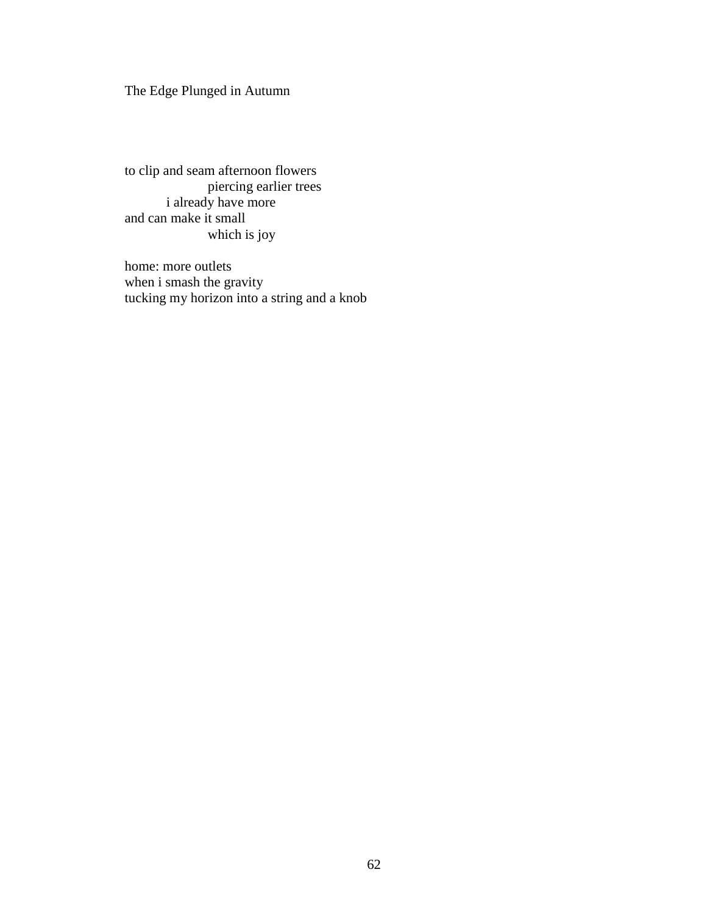The Edge Plunged in Autumn

to clip and seam afternoon flowers piercing earlier trees i already have more and can make it small which is joy

home: more outlets when i smash the gravity tucking my horizon into a string and a knob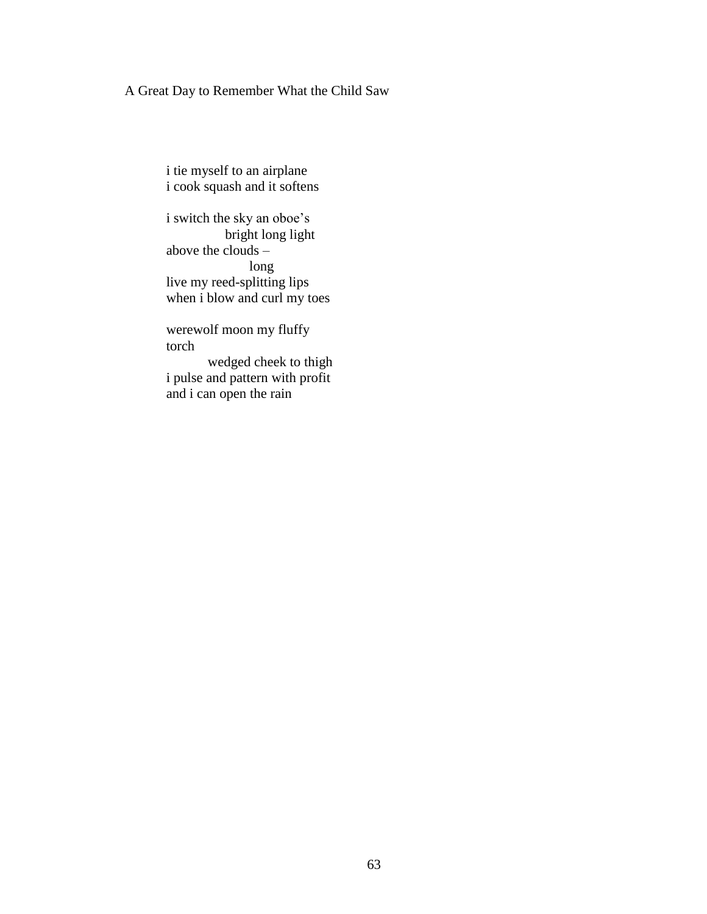# A Great Day to Remember What the Child Saw

i tie myself to an airplane i cook squash and it softens

i switch the sky an oboe's bright long light above the clouds  $$ long live my reed-splitting lips when i blow and curl my toes

werewolf moon my fluffy torch

wedged cheek to thigh i pulse and pattern with profit and i can open the rain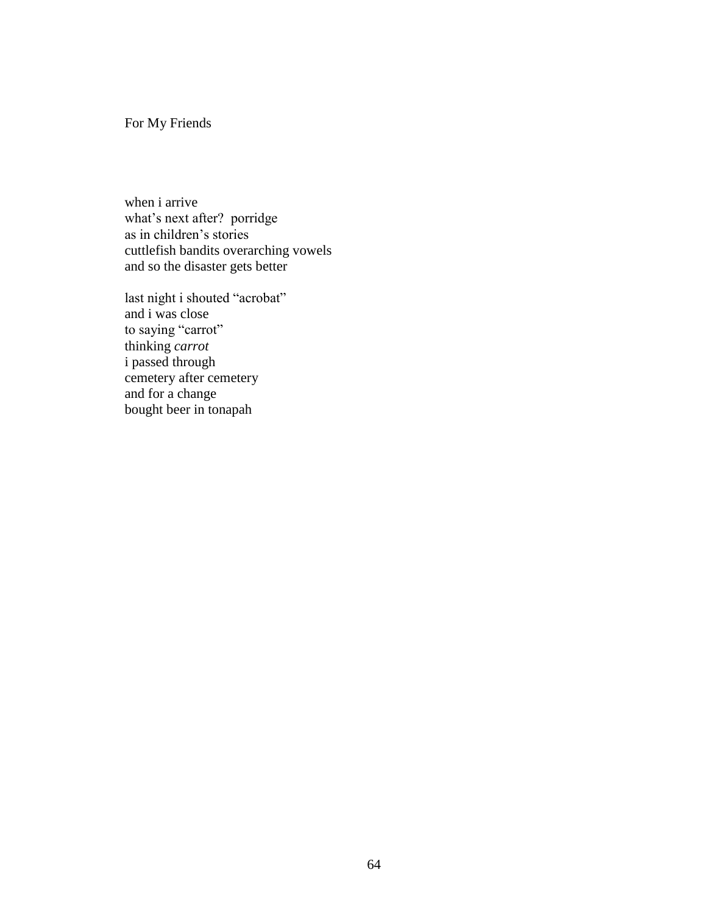For My Friends

when i arrive what's next after? porridge as in children's stories cuttlefish bandits overarching vowels and so the disaster gets better

last night i shouted "acrobat" and i was close to saying "carrot" thinking *carrot* i passed through cemetery after cemetery and for a change bought beer in tonapah